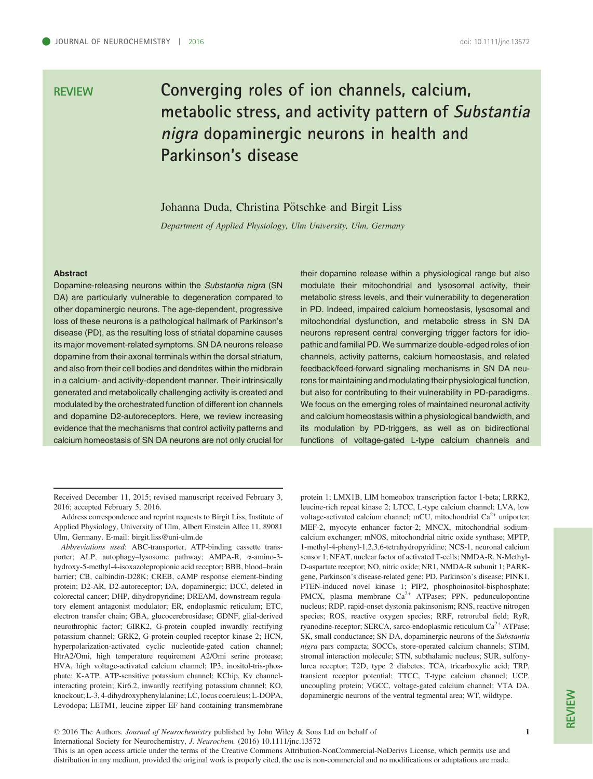# REVIEW Converging roles of ion channels, calcium, metabolic stress, and activity pattern of Substantia nigra dopaminergic neurons in health and Parkinson's disease

Johanna Duda, Christina Pötschke and Birgit Liss

Department of Applied Physiology, Ulm University, Ulm, Germany

#### **Abstract**

Dopamine-releasing neurons within the Substantia nigra (SN DA) are particularly vulnerable to degeneration compared to other dopaminergic neurons. The age-dependent, progressive loss of these neurons is a pathological hallmark of Parkinson's disease (PD), as the resulting loss of striatal dopamine causes its major movement-related symptoms. SN DA neurons release dopamine from their axonal terminals within the dorsal striatum, and also from their cell bodies and dendrites within the midbrain in a calcium- and activity-dependent manner. Their intrinsically generated and metabolically challenging activity is created and modulated by the orchestrated function of different ion channels and dopamine D2-autoreceptors. Here, we review increasing evidence that the mechanisms that control activity patterns and calcium homeostasis of SN DA neurons are not only crucial for their dopamine release within a physiological range but also modulate their mitochondrial and lysosomal activity, their metabolic stress levels, and their vulnerability to degeneration in PD. Indeed, impaired calcium homeostasis, lysosomal and mitochondrial dysfunction, and metabolic stress in SN DA neurons represent central converging trigger factors for idiopathic and familial PD. We summarize double-edged roles of ion channels, activity patterns, calcium homeostasis, and related feedback/feed-forward signaling mechanisms in SN DA neurons for maintaining and modulating their physiological function, but also for contributing to their vulnerability in PD-paradigms. We focus on the emerging roles of maintained neuronal activity and calcium homeostasis within a physiological bandwidth, and its modulation by PD-triggers, as well as on bidirectional functions of voltage-gated L-type calcium channels and

Address correspondence and reprint requests to Birgit Liss, Institute of Applied Physiology, University of Ulm, Albert Einstein Allee 11, 89081 Ulm, Germany. E-mail: birgit.liss@uni-ulm.de

Abbreviations used: ABC-transporter, ATP-binding cassette transporter; ALP, autophagy–lysosome pathway; AMPA-R, a-amino-3 hydroxy-5-methyl-4-isoxazolepropionic acid receptor; BBB, blood–brain barrier; CB, calbindin-D28K; CREB, cAMP response element-binding protein; D2-AR, D2-autoreceptor; DA, dopaminergic; DCC, deleted in colorectal cancer; DHP, dihydropyridine; DREAM, downstream regulatory element antagonist modulator; ER, endoplasmic reticulum; ETC, electron transfer chain; GBA, glucocerebrosidase; GDNF, glial-derived neurothrophic factor; GIRK2, G-protein coupled inwardly rectifying potassium channel; GRK2, G-protein-coupled receptor kinase 2; HCN, hyperpolarization-activated cyclic nucleotide-gated cation channel; HtrA2/Omi, high temperature requirement A2/Omi serine protease; HVA, high voltage-activated calcium channel; IP3, inositol-tris-phosphate; K-ATP, ATP-sensitive potassium channel; KChip, Kv channelinteracting protein; Kir6.2, inwardly rectifying potassium channel; KO, knockout; L-3, 4-dihydroxyphenylalanine; LC, locus coeruleus; L-DOPA, Levodopa; LETM1, leucine zipper EF hand containing transmembrane protein 1; LMX1B, LIM homeobox transcription factor 1-beta; LRRK2, leucine-rich repeat kinase 2; LTCC, L-type calcium channel; LVA, low voltage-activated calcium channel; mCU, mitochondrial  $Ca<sup>2+</sup>$  uniporter; MEF-2, myocyte enhancer factor-2; MNCX, mitochondrial sodiumcalcium exchanger; mNOS, mitochondrial nitric oxide synthase; MPTP, 1-methyl-4-phenyl-1,2,3,6-tetrahydropyridine; NCS-1, neuronal calcium sensor 1; NFAT, nuclear factor of activated T-cells; NMDA-R, N-Methyl-D-aspartate receptor; NO, nitric oxide; NR1, NMDA-R subunit 1; PARKgene, Parkinson's disease-related gene; PD, Parkinson's disease; PINK1, PTEN-induced novel kinase 1; PIP2, phosphoinositol-bisphosphate; PMCX, plasma membrane  $Ca^{2+}$  ATPases; PPN, pedunculopontine nucleus; RDP, rapid-onset dystonia pakinsonism; RNS, reactive nitrogen species; ROS, reactive oxygen species; RRF, retrorubal field; RyR, ryanodine-receptor; SERCA, sarco-endoplasmic reticulum Ca<sup>2+</sup> ATPase; SK, small conductance; SN DA, dopaminergic neurons of the Substantia nigra pars compacta; SOCCs, store-operated calcium channels; STIM, stromal interaction molecule; STN, subthalamic nucleus; SUR, sulfonylurea receptor; T2D, type 2 diabetes; TCA, tricarboxylic acid; TRP, transient receptor potential; TTCC, T-type calcium channel; UCP, uncoupling protein; VGCC, voltage-gated calcium channel; VTA DA, dopaminergic neurons of the ventral tegmental area; WT, wildtype.

REVIEW

© 2016 The Authors. Journal of Neurochemistry published by John Wiley & Sons Ltd on behalf of

International Society for Neurochemistry, J. Neurochem. (2016) 10.1111/jnc.13572

This is an open access article under the terms of the [Creative Commons Attribution-NonCommercial-NoDerivs](http://creativecommons.org/licenses/by-nc-nd/4.0/) License, which permits use and distribution in any medium, provided the original work is properly cited, the use is non-commercial and no modifications or adaptations are made.

Received December 11, 2015; revised manuscript received February 3, 2016; accepted February 5, 2016.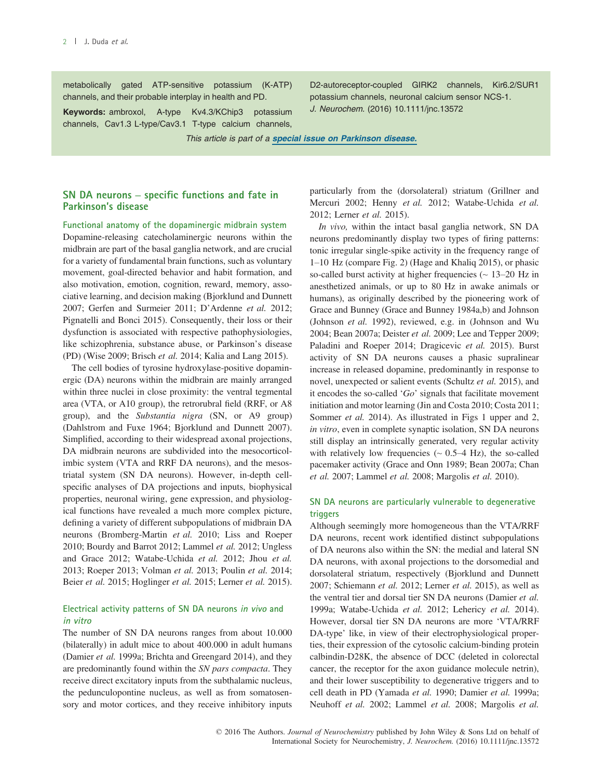metabolically gated ATP-sensitive potassium (K-ATP) channels, and their probable interplay in health and PD.

Keywords: ambroxol, A-type Kv4.3/KChip3 potassium channels, Cav1.3 L-type/Cav3.1 T-type calcium channels,

D2-autoreceptor-coupled GIRK2 channels, Kir6.2/SUR1 potassium channels, neuronal calcium sensor NCS-1. J. Neurochem. (2016) 10.1111/jnc.13572

This article is part of a [special issue on Parkinson disease](http://onlinelibrary.wiley.com/journal/10.1111/(ISSN)1471-4159/homepage/special_issues.htm).

## SN DA neurons – specific functions and fate in Parkinson's disease

Functional anatomy of the dopaminergic midbrain system Dopamine-releasing catecholaminergic neurons within the midbrain are part of the basal ganglia network, and are crucial for a variety of fundamental brain functions, such as voluntary movement, goal-directed behavior and habit formation, and also motivation, emotion, cognition, reward, memory, associative learning, and decision making (Bjorklund and Dunnett 2007; Gerfen and Surmeier 2011; D'Ardenne et al. 2012; Pignatelli and Bonci 2015). Consequently, their loss or their dysfunction is associated with respective pathophysiologies, like schizophrenia, substance abuse, or Parkinson's disease (PD) (Wise 2009; Brisch et al. 2014; Kalia and Lang 2015).

The cell bodies of tyrosine hydroxylase-positive dopaminergic (DA) neurons within the midbrain are mainly arranged within three nuclei in close proximity: the ventral tegmental area (VTA, or A10 group), the retrorubral field (RRF, or A8 group), and the Substantia nigra (SN, or A9 group) (Dahlstrom and Fuxe 1964; Bjorklund and Dunnett 2007). Simplified, according to their widespread axonal projections, DA midbrain neurons are subdivided into the mesocorticolimbic system (VTA and RRF DA neurons), and the mesostriatal system (SN DA neurons). However, in-depth cellspecific analyses of DA projections and inputs, biophysical properties, neuronal wiring, gene expression, and physiological functions have revealed a much more complex picture, defining a variety of different subpopulations of midbrain DA neurons (Bromberg-Martin et al. 2010; Liss and Roeper 2010; Bourdy and Barrot 2012; Lammel et al. 2012; Ungless and Grace 2012; Watabe-Uchida et al. 2012; Jhou et al. 2013; Roeper 2013; Volman et al. 2013; Poulin et al. 2014; Beier et al. 2015; Hoglinger et al. 2015; Lerner et al. 2015).

#### Electrical activity patterns of SN DA neurons in vivo and in vitro

The number of SN DA neurons ranges from about 10.000 (bilaterally) in adult mice to about 400.000 in adult humans (Damier et al. 1999a; Brichta and Greengard 2014), and they are predominantly found within the SN pars compacta. They receive direct excitatory inputs from the subthalamic nucleus, the pedunculopontine nucleus, as well as from somatosensory and motor cortices, and they receive inhibitory inputs particularly from the (dorsolateral) striatum (Grillner and Mercuri 2002; Henny et al. 2012; Watabe-Uchida et al. 2012; Lerner et al. 2015).

In vivo, within the intact basal ganglia network, SN DA neurons predominantly display two types of firing patterns: tonic irregular single-spike activity in the frequency range of 1–10 Hz (compare Fig. 2) (Hage and Khaliq 2015), or phasic so-called burst activity at higher frequencies  $($   $\sim$  13–20 Hz in anesthetized animals, or up to 80 Hz in awake animals or humans), as originally described by the pioneering work of Grace and Bunney (Grace and Bunney 1984a,b) and Johnson (Johnson et al. 1992), reviewed, e.g. in (Johnson and Wu 2004; Bean 2007a; Deister et al. 2009; Lee and Tepper 2009; Paladini and Roeper 2014; Dragicevic et al. 2015). Burst activity of SN DA neurons causes a phasic supralinear increase in released dopamine, predominantly in response to novel, unexpected or salient events (Schultz et al. 2015), and it encodes the so-called ' $Go$ ' signals that facilitate movement initiation and motor learning (Jin and Costa 2010; Costa 2011; Sommer *et al.* 2014). As illustrated in Figs 1 upper and 2, in vitro, even in complete synaptic isolation, SN DA neurons still display an intrinsically generated, very regular activity with relatively low frequencies  $({\sim 0.5-4 \text{ Hz}})$ , the so-called pacemaker activity (Grace and Onn 1989; Bean 2007a; Chan et al. 2007; Lammel et al. 2008; Margolis et al. 2010).

#### SN DA neurons are particularly vulnerable to degenerative triggers

Although seemingly more homogeneous than the VTA/RRF DA neurons, recent work identified distinct subpopulations of DA neurons also within the SN: the medial and lateral SN DA neurons, with axonal projections to the dorsomedial and dorsolateral striatum, respectively (Bjorklund and Dunnett 2007; Schiemann et al. 2012; Lerner et al. 2015), as well as the ventral tier and dorsal tier SN DA neurons (Damier et al. 1999a; Watabe-Uchida et al. 2012; Lehericy et al. 2014). However, dorsal tier SN DA neurons are more 'VTA/RRF DA-type' like, in view of their electrophysiological properties, their expression of the cytosolic calcium-binding protein calbindin-D28K, the absence of DCC (deleted in colorectal cancer, the receptor for the axon guidance molecule netrin), and their lower susceptibility to degenerative triggers and to cell death in PD (Yamada et al. 1990; Damier et al. 1999a; Neuhoff et al. 2002; Lammel et al. 2008; Margolis et al.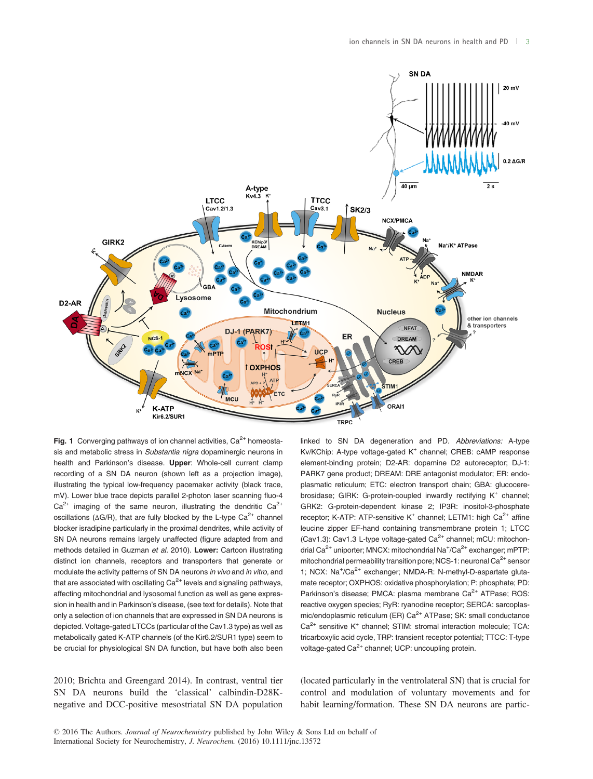

**Fig. 1** Converging pathways of ion channel activities,  $Ca^{2+}$  homeostasis and metabolic stress in Substantia nigra dopaminergic neurons in health and Parkinson's disease. Upper: Whole-cell current clamp recording of a SN DA neuron (shown left as a projection image), illustrating the typical low-frequency pacemaker activity (black trace, mV). Lower blue trace depicts parallel 2-photon laser scanning fluo-4  $Ca^{2+}$  imaging of the same neuron, illustrating the dendritic  $Ca^{2+}$ oscillations ( $\Delta G/R$ ), that are fully blocked by the L-type  $Ca^{2+}$  channel blocker isradipine particularly in the proximal dendrites, while activity of SN DA neurons remains largely unaffected (figure adapted from and methods detailed in Guzman et al. 2010). Lower: Cartoon illustrating distinct ion channels, receptors and transporters that generate or modulate the activity patterns of SN DA neurons in vivo and in vitro, and that are associated with oscillating  $Ca<sup>2+</sup>$  levels and signaling pathways, affecting mitochondrial and lysosomal function as well as gene expression in health and in Parkinson's disease, (see text for details). Note that only a selection of ion channels that are expressed in SN DA neurons is depicted. Voltage-gated LTCCs (particular of the Cav1.3 type) as well as metabolically gated K-ATP channels (of the Kir6.2/SUR1 type) seem to be crucial for physiological SN DA function, but have both also been linked to SN DA degeneration and PD. Abbreviations: A-type Kv/KChip: A-type voltage-gated K<sup>+</sup> channel; CREB: cAMP response element-binding protein; D2-AR: dopamine D2 autoreceptor; DJ-1: PARK7 gene product; DREAM: DRE antagonist modulator; ER: endoplasmatic reticulum; ETC: electron transport chain; GBA: glucocerebrosidase; GIRK: G-protein-coupled inwardly rectifying K<sup>+</sup> channel; GRK2: G-protein-dependent kinase 2; IP3R: inositol-3-phosphate receptor; K-ATP: ATP-sensitive K<sup>+</sup> channel; LETM1: high  $Ca<sup>2+</sup>$  affine leucine zipper EF-hand containing transmembrane protein 1; LTCC (Cav1.3): Cav1.3 L-type voltage-gated Ca<sup>2+</sup> channel; mCU: mitochondrial Ca<sup>2+</sup> uniporter; MNCX: mitochondrial Na<sup>+</sup>/Ca<sup>2+</sup> exchanger; mPTP: mitochondrial permeability transition pore; NCS-1: neuronal  $Ca^{2+}$  sensor 1; NCX: Na<sup>+</sup>/Ca<sup>2+</sup> exchanger; NMDA-R: N-methyl-D-aspartate glutamate receptor; OXPHOS: oxidative phosphorylation; P: phosphate; PD: Parkinson's disease; PMCA: plasma membrane Ca<sup>2+</sup> ATPase; ROS: reactive oxygen species; RyR: ryanodine receptor; SERCA: sarcoplasmic/endoplasmic reticulum (ER)  $Ca^{2+}$  ATPase; SK: small conductance  $Ca<sup>2+</sup>$  sensitive K<sup>+</sup> channel: STIM: stromal interaction molecule: TCA: tricarboxylic acid cycle, TRP: transient receptor potential; TTCC: T-type voltage-gated Ca<sup>2+</sup> channel; UCP: uncoupling protein.

2010; Brichta and Greengard 2014). In contrast, ventral tier SN DA neurons build the 'classical' calbindin-D28Knegative and DCC-positive mesostriatal SN DA population (located particularly in the ventrolateral SN) that is crucial for control and modulation of voluntary movements and for habit learning/formation. These SN DA neurons are partic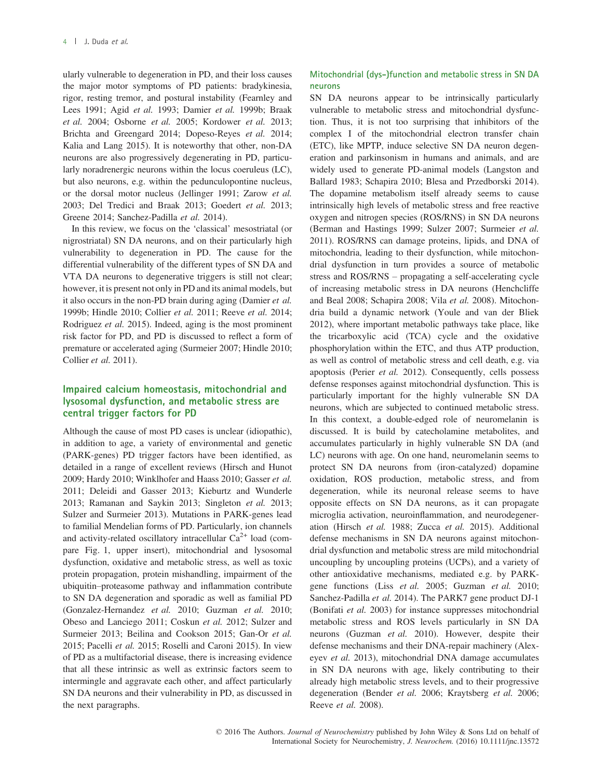ularly vulnerable to degeneration in PD, and their loss causes the major motor symptoms of PD patients: bradykinesia, rigor, resting tremor, and postural instability (Fearnley and Lees 1991; Agid et al. 1993; Damier et al. 1999b; Braak et al. 2004; Osborne et al. 2005; Kordower et al. 2013; Brichta and Greengard 2014; Dopeso-Reyes et al. 2014; Kalia and Lang 2015). It is noteworthy that other, non-DA neurons are also progressively degenerating in PD, particularly noradrenergic neurons within the locus coeruleus (LC), but also neurons, e.g. within the pedunculopontine nucleus, or the dorsal motor nucleus (Jellinger 1991; Zarow et al. 2003; Del Tredici and Braak 2013; Goedert et al. 2013; Greene 2014; Sanchez-Padilla et al. 2014).

In this review, we focus on the 'classical' mesostriatal (or nigrostriatal) SN DA neurons, and on their particularly high vulnerability to degeneration in PD. The cause for the differential vulnerability of the different types of SN DA and VTA DA neurons to degenerative triggers is still not clear; however, it is present not only in PD and its animal models, but it also occurs in the non-PD brain during aging (Damier et al. 1999b; Hindle 2010; Collier et al. 2011; Reeve et al. 2014; Rodriguez et al. 2015). Indeed, aging is the most prominent risk factor for PD, and PD is discussed to reflect a form of premature or accelerated aging (Surmeier 2007; Hindle 2010; Collier et al. 2011).

## Impaired calcium homeostasis, mitochondrial and lysosomal dysfunction, and metabolic stress are central trigger factors for PD

Although the cause of most PD cases is unclear (idiopathic), in addition to age, a variety of environmental and genetic (PARK-genes) PD trigger factors have been identified, as detailed in a range of excellent reviews (Hirsch and Hunot 2009; Hardy 2010; Winklhofer and Haass 2010; Gasser et al. 2011; Deleidi and Gasser 2013; Kieburtz and Wunderle 2013; Ramanan and Saykin 2013; Singleton et al. 2013; Sulzer and Surmeier 2013). Mutations in PARK-genes lead to familial Mendelian forms of PD. Particularly, ion channels and activity-related oscillatory intracellular  $Ca^{2+}$  load (compare Fig. 1, upper insert), mitochondrial and lysosomal dysfunction, oxidative and metabolic stress, as well as toxic protein propagation, protein mishandling, impairment of the ubiquitin–proteasome pathway and inflammation contribute to SN DA degeneration and sporadic as well as familial PD (Gonzalez-Hernandez et al. 2010; Guzman et al. 2010; Obeso and Lanciego 2011; Coskun et al. 2012; Sulzer and Surmeier 2013; Beilina and Cookson 2015; Gan-Or et al. 2015; Pacelli et al. 2015; Roselli and Caroni 2015). In view of PD as a multifactorial disease, there is increasing evidence that all these intrinsic as well as extrinsic factors seem to intermingle and aggravate each other, and affect particularly SN DA neurons and their vulnerability in PD, as discussed in the next paragraphs.

## Mitochondrial (dys-)function and metabolic stress in SN DA neurons

SN DA neurons appear to be intrinsically particularly vulnerable to metabolic stress and mitochondrial dysfunction. Thus, it is not too surprising that inhibitors of the complex I of the mitochondrial electron transfer chain (ETC), like MPTP, induce selective SN DA neuron degeneration and parkinsonism in humans and animals, and are widely used to generate PD-animal models (Langston and Ballard 1983; Schapira 2010; Blesa and Przedborski 2014). The dopamine metabolism itself already seems to cause intrinsically high levels of metabolic stress and free reactive oxygen and nitrogen species (ROS/RNS) in SN DA neurons (Berman and Hastings 1999; Sulzer 2007; Surmeier et al. 2011). ROS/RNS can damage proteins, lipids, and DNA of mitochondria, leading to their dysfunction, while mitochondrial dysfunction in turn provides a source of metabolic stress and ROS/RNS – propagating a self-accelerating cycle of increasing metabolic stress in DA neurons (Henchcliffe and Beal 2008; Schapira 2008; Vila et al. 2008). Mitochondria build a dynamic network (Youle and van der Bliek 2012), where important metabolic pathways take place, like the tricarboxylic acid (TCA) cycle and the oxidative phosphorylation within the ETC, and thus ATP production, as well as control of metabolic stress and cell death, e.g. via apoptosis (Perier et al. 2012). Consequently, cells possess defense responses against mitochondrial dysfunction. This is particularly important for the highly vulnerable SN DA neurons, which are subjected to continued metabolic stress. In this context, a double-edged role of neuromelanin is discussed. It is build by catecholamine metabolites, and accumulates particularly in highly vulnerable SN DA (and LC) neurons with age. On one hand, neuromelanin seems to protect SN DA neurons from (iron-catalyzed) dopamine oxidation, ROS production, metabolic stress, and from degeneration, while its neuronal release seems to have opposite effects on SN DA neurons, as it can propagate microglia activation, neuroinflammation, and neurodegeneration (Hirsch et al. 1988; Zucca et al. 2015). Additional defense mechanisms in SN DA neurons against mitochondrial dysfunction and metabolic stress are mild mitochondrial uncoupling by uncoupling proteins (UCPs), and a variety of other antioxidative mechanisms, mediated e.g. by PARKgene functions (Liss et al. 2005; Guzman et al. 2010; Sanchez-Padilla et al. 2014). The PARK7 gene product DJ-1 (Bonifati et al. 2003) for instance suppresses mitochondrial metabolic stress and ROS levels particularly in SN DA neurons (Guzman et al. 2010). However, despite their defense mechanisms and their DNA-repair machinery (Alexeyev et al. 2013), mitochondrial DNA damage accumulates in SN DA neurons with age, likely contributing to their already high metabolic stress levels, and to their progressive degeneration (Bender et al. 2006; Kraytsberg et al. 2006; Reeve et al. 2008).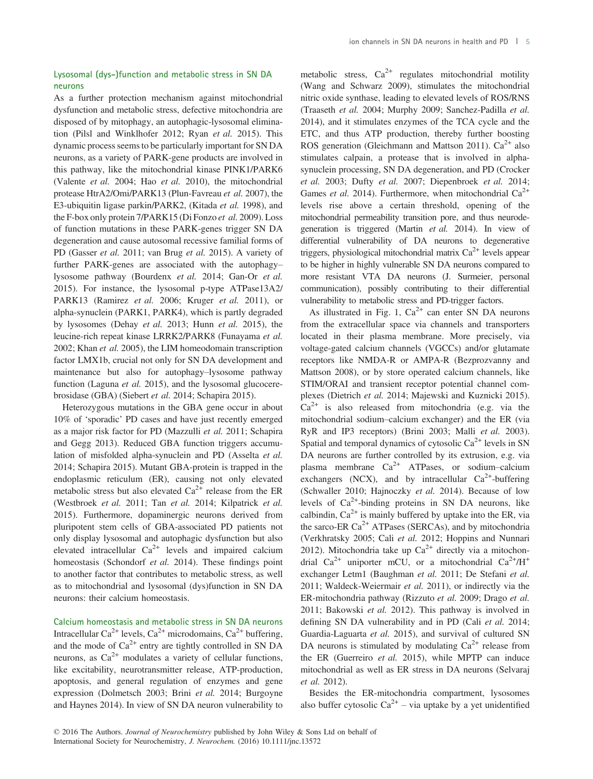## Lysosomal (dys-)function and metabolic stress in SN DA neurons

As a further protection mechanism against mitochondrial dysfunction and metabolic stress, defective mitochondria are disposed of by mitophagy, an autophagic-lysosomal elimination (Pilsl and Winklhofer 2012; Ryan et al. 2015). This dynamic process seems to be particularly important for SN DA neurons, as a variety of PARK-gene products are involved in this pathway, like the mitochondrial kinase PINK1/PARK6 (Valente et al. 2004; Hao et al. 2010), the mitochondrial protease HtrA2/Omi/PARK13 (Plun-Favreau et al. 2007), the E3-ubiquitin ligase parkin/PARK2, (Kitada et al. 1998), and the F-box only protein 7/PARK15 (Di Fonzo et al. 2009). Loss of function mutations in these PARK-genes trigger SN DA degeneration and cause autosomal recessive familial forms of PD (Gasser et al. 2011; van Brug et al. 2015). A variety of further PARK-genes are associated with the autophagy– lysosome pathway (Bourdenx et al. 2014; Gan-Or et al. 2015). For instance, the lysosomal p-type ATPase13A2/ PARK13 (Ramirez et al. 2006; Kruger et al. 2011), or alpha-synuclein (PARK1, PARK4), which is partly degraded by lysosomes (Dehay et al. 2013; Hunn et al. 2015), the leucine-rich repeat kinase LRRK2/PARK8 (Funayama et al. 2002; Khan et al. 2005), the LIM homeodomain transcription factor LMX1b, crucial not only for SN DA development and maintenance but also for autophagy–lysosome pathway function (Laguna *et al.* 2015), and the lysosomal glucocerebrosidase (GBA) (Siebert et al. 2014; Schapira 2015).

Heterozygous mutations in the GBA gene occur in about 10% of 'sporadic' PD cases and have just recently emerged as a major risk factor for PD (Mazzulli et al. 2011; Schapira and Gegg 2013). Reduced GBA function triggers accumulation of misfolded alpha-synuclein and PD (Asselta et al. 2014; Schapira 2015). Mutant GBA-protein is trapped in the endoplasmic reticulum (ER), causing not only elevated metabolic stress but also elevated  $Ca^{2+}$  release from the ER (Westbroek et al. 2011; Tan et al. 2014; Kilpatrick et al. 2015). Furthermore, dopaminergic neurons derived from pluripotent stem cells of GBA-associated PD patients not only display lysosomal and autophagic dysfunction but also elevated intracellular  $Ca^{2+}$  levels and impaired calcium homeostasis (Schondorf et al. 2014). These findings point to another factor that contributes to metabolic stress, as well as to mitochondrial and lysosomal (dys)function in SN DA neurons: their calcium homeostasis.

Calcium homeostasis and metabolic stress in SN DA neurons Intracellular Ca<sup>2+</sup> levels, Ca<sup>2+</sup> microdomains, Ca<sup>2+</sup> buffering, and the mode of  $Ca^{2+}$  entry are tightly controlled in SN DA neurons, as  $Ca^{2+}$  modulates a variety of cellular functions, like excitability, neurotransmitter release, ATP-production, apoptosis, and general regulation of enzymes and gene expression (Dolmetsch 2003; Brini et al. 2014; Burgoyne and Haynes 2014). In view of SN DA neuron vulnerability to metabolic stress,  $Ca^{2+}$  regulates mitochondrial motility (Wang and Schwarz 2009), stimulates the mitochondrial nitric oxide synthase, leading to elevated levels of ROS/RNS (Traaseth et al. 2004; Murphy 2009; Sanchez-Padilla et al. 2014), and it stimulates enzymes of the TCA cycle and the ETC, and thus ATP production, thereby further boosting ROS generation (Gleichmann and Mattson 2011).  $Ca^{2+}$  also stimulates calpain, a protease that is involved in alphasynuclein processing, SN DA degeneration, and PD (Crocker et al. 2003; Dufty et al. 2007; Diepenbroek et al. 2014; Games et al. 2014). Furthermore, when mitochondrial  $Ca^{2+}$ levels rise above a certain threshold, opening of the mitochondrial permeability transition pore, and thus neurodegeneration is triggered (Martin et al. 2014). In view of differential vulnerability of DA neurons to degenerative triggers, physiological mitochondrial matrix  $Ca^{2+}$  levels appear to be higher in highly vulnerable SN DA neurons compared to more resistant VTA DA neurons (J. Surmeier, personal communication), possibly contributing to their differential vulnerability to metabolic stress and PD-trigger factors.

As illustrated in Fig. 1,  $Ca^{2+}$  can enter SN DA neurons from the extracellular space via channels and transporters located in their plasma membrane. More precisely, via voltage-gated calcium channels (VGCCs) and/or glutamate receptors like NMDA-R or AMPA-R (Bezprozvanny and Mattson 2008), or by store operated calcium channels, like STIM/ORAI and transient receptor potential channel complexes (Dietrich et al. 2014; Majewski and Kuznicki 2015).  $Ca^{2+}$  is also released from mitochondria (e.g. via the mitochondrial sodium–calcium exchanger) and the ER (via RyR and IP3 receptors) (Brini 2003; Malli et al. 2003). Spatial and temporal dynamics of cytosolic  $Ca^{2+}$  levels in SN DA neurons are further controlled by its extrusion, e.g. via plasma membrane  $Ca^{2+}$  ATPases, or sodium–calcium exchangers (NCX), and by intracellular  $Ca^{2+}$ -buffering (Schwaller 2010; Hajnoczky et al. 2014). Because of low levels of  $Ca^{2+}$ -binding proteins in SN DA neurons, like calbindin,  $Ca^{2+}$  is mainly buffered by uptake into the ER, via the sarco-ER  $Ca^{2+}$  ATPases (SERCAs), and by mitochondria (Verkhratsky 2005; Cali et al. 2012; Hoppins and Nunnari 2012). Mitochondria take up  $Ca^{2+}$  directly via a mitochondrial  $Ca^{2+}$  uniporter mCU, or a mitochondrial  $Ca^{2+}/H^+$ exchanger Letm1 (Baughman et al. 2011; De Stefani et al. 2011; Waldeck-Weiermair et al. 2011), or indirectly via the ER-mitochondria pathway (Rizzuto et al. 2009; Drago et al. 2011; Bakowski et al. 2012). This pathway is involved in defining SN DA vulnerability and in PD (Cali et al. 2014; Guardia-Laguarta et al. 2015), and survival of cultured SN DA neurons is stimulated by modulating  $Ca^{2+}$  release from the ER (Guerreiro et al. 2015), while MPTP can induce mitochondrial as well as ER stress in DA neurons (Selvaraj et al. 2012).

Besides the ER-mitochondria compartment, lysosomes also buffer cytosolic  $Ca^{2+}$  – via uptake by a yet unidentified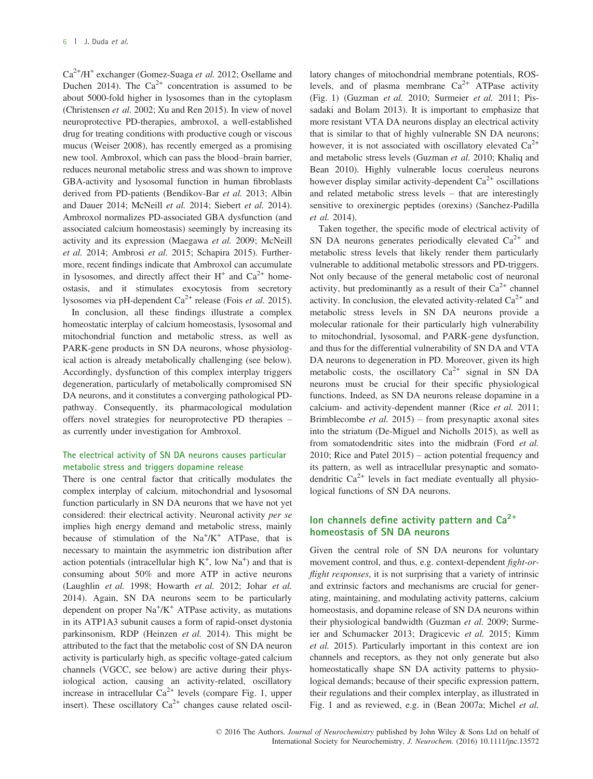$Ca^{2+}/H^+$  exchanger (Gomez-Suaga et al. 2012; Osellame and Duchen 2014). The  $Ca^{2+}$  concentration is assumed to be about 5000-fold higher in lysosomes than in the cytoplasm (Christensen et al. 2002; Xu and Ren 2015). In view of novel neuroprotective PD-therapies, ambroxol, a well-established drug for treating conditions with productive cough or viscous mucus (Weiser 2008), has recently emerged as a promising new tool. Ambroxol, which can pass the blood–brain barrier, reduces neuronal metabolic stress and was shown to improve GBA-activity and lysosomal function in human fibroblasts derived from PD-patients (Bendikov-Bar et al. 2013; Albin and Dauer 2014; McNeill et al. 2014; Siebert et al. 2014). Ambroxol normalizes PD-associated GBA dysfunction (and associated calcium homeostasis) seemingly by increasing its activity and its expression (Maegawa et al. 2009; McNeill et al. 2014; Ambrosi et al. 2015; Schapira 2015). Furthermore, recent findings indicate that Ambroxol can accumulate in lysosomes, and directly affect their  $H^+$  and  $Ca^{2+}$  homeostasis, and it stimulates exocytosis from secretory lysosomes via pH-dependent  $Ca^{2+}$  release (Fois *et al.* 2015).

In conclusion, all these findings illustrate a complex homeostatic interplay of calcium homeostasis, lysosomal and mitochondrial function and metabolic stress, as well as PARK-gene products in SN DA neurons, whose physiological action is already metabolically challenging (see below). Accordingly, dysfunction of this complex interplay triggers degeneration, particularly of metabolically compromised SN DA neurons, and it constitutes a converging pathological PDpathway. Consequently, its pharmacological modulation offers novel strategies for neuroprotective PD therapies – as currently under investigation for Ambroxol.

#### The electrical activity of SN DA neurons causes particular metabolic stress and triggers dopamine release

There is one central factor that critically modulates the complex interplay of calcium, mitochondrial and lysosomal function particularly in SN DA neurons that we have not yet considered: their electrical activity. Neuronal activity per se implies high energy demand and metabolic stress, mainly because of stimulation of the  $Na^+/K^+$  ATPase, that is necessary to maintain the asymmetric ion distribution after action potentials (intracellular high  $K^+$ , low  $Na^+$ ) and that is consuming about 50% and more ATP in active neurons (Laughlin et al. 1998; Howarth et al. 2012; Johar et al. 2014). Again, SN DA neurons seem to be particularly dependent on proper  $\text{Na}^{\text{+}}/\text{K}^{\text{+}}$  ATPase activity, as mutations in its ATP1A3 subunit causes a form of rapid-onset dystonia parkinsonism, RDP (Heinzen et al. 2014). This might be attributed to the fact that the metabolic cost of SN DA neuron activity is particularly high, as specific voltage-gated calcium channels (VGCC, see below) are active during their physiological action, causing an activity-related, oscillatory increase in intracellular  $Ca^{2+}$  levels (compare Fig. 1, upper insert). These oscillatory  $Ca^{2+}$  changes cause related oscillatory changes of mitochondrial membrane potentials, ROSlevels, and of plasma membrane  $Ca^{2+}$  ATPase activity (Fig. 1) (Guzman et al. 2010; Surmeier et al. 2011; Pissadaki and Bolam 2013). It is important to emphasize that more resistant VTA DA neurons display an electrical activity that is similar to that of highly vulnerable SN DA neurons; however, it is not associated with oscillatory elevated  $Ca^{2+}$ and metabolic stress levels (Guzman et al. 2010; Khaliq and Bean 2010). Highly vulnerable locus coeruleus neurons however display similar activity-dependent  $Ca^{2+}$  oscillations and related metabolic stress levels – that are interestingly sensitive to orexinergic peptides (orexins) (Sanchez-Padilla et al. 2014).

Taken together, the specific mode of electrical activity of SN DA neurons generates periodically elevated  $Ca^{2+}$  and metabolic stress levels that likely render them particularly vulnerable to additional metabolic stressors and PD-triggers. Not only because of the general metabolic cost of neuronal activity, but predominantly as a result of their  $Ca^{2+}$  channel activity. In conclusion, the elevated activity-related  $Ca^{2+}$  and metabolic stress levels in SN DA neurons provide a molecular rationale for their particularly high vulnerability to mitochondrial, lysosomal, and PARK-gene dysfunction, and thus for the differential vulnerability of SN DA and VTA DA neurons to degeneration in PD. Moreover, given its high metabolic costs, the oscillatory  $Ca^{2+}$  signal in SN DA neurons must be crucial for their specific physiological functions. Indeed, as SN DA neurons release dopamine in a calcium- and activity-dependent manner (Rice et al. 2011; Brimblecombe *et al.* 2015) – from presynaptic axonal sites into the striatum (De-Miguel and Nicholls 2015), as well as from somatodendritic sites into the midbrain (Ford et al. 2010; Rice and Patel 2015) – action potential frequency and its pattern, as well as intracellular presynaptic and somatodendritic  $Ca^{2+}$  levels in fact mediate eventually all physiological functions of SN DA neurons.

## Ion channels define activity pattern and  $Ca<sup>2+</sup>$ homeostasis of SN DA neurons

Given the central role of SN DA neurons for voluntary movement control, and thus, e.g. context-dependent fight-orflight responses, it is not surprising that a variety of intrinsic and extrinsic factors and mechanisms are crucial for generating, maintaining, and modulating activity patterns, calcium homeostasis, and dopamine release of SN DA neurons within their physiological bandwidth (Guzman et al. 2009; Surmeier and Schumacker 2013; Dragicevic et al. 2015; Kimm et al. 2015). Particularly important in this context are ion channels and receptors, as they not only generate but also homeostatically shape SN DA activity patterns to physiological demands; because of their specific expression pattern, their regulations and their complex interplay, as illustrated in Fig. 1 and as reviewed, e.g. in (Bean 2007a; Michel et al.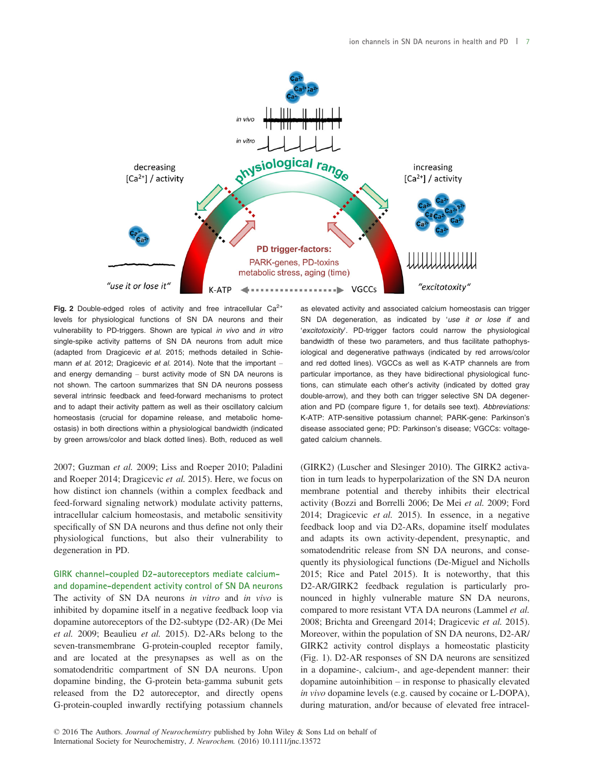

Fig. 2 Double-edged roles of activity and free intracellular  $Ca^{2+}$ levels for physiological functions of SN DA neurons and their vulnerability to PD-triggers. Shown are typical in vivo and in vitro single-spike activity patterns of SN DA neurons from adult mice (adapted from Dragicevic et al. 2015; methods detailed in Schiemann et al. 2012; Dragicevic et al. 2014). Note that the important and energy demanding – burst activity mode of SN DA neurons is not shown. The cartoon summarizes that SN DA neurons possess several intrinsic feedback and feed-forward mechanisms to protect and to adapt their activity pattern as well as their oscillatory calcium homeostasis (crucial for dopamine release, and metabolic homeostasis) in both directions within a physiological bandwidth (indicated by green arrows/color and black dotted lines). Both, reduced as well

2007; Guzman et al. 2009; Liss and Roeper 2010; Paladini and Roeper 2014; Dragicevic et al. 2015). Here, we focus on how distinct ion channels (within a complex feedback and feed-forward signaling network) modulate activity patterns, intracellular calcium homeostasis, and metabolic sensitivity specifically of SN DA neurons and thus define not only their physiological functions, but also their vulnerability to degeneration in PD.

GIRK channel-coupled D2-autoreceptors mediate calciumand dopamine-dependent activity control of SN DA neurons The activity of SN DA neurons in vitro and in vivo is inhibited by dopamine itself in a negative feedback loop via dopamine autoreceptors of the D2-subtype (D2-AR) (De Mei et al. 2009; Beaulieu et al. 2015). D2-ARs belong to the seven-transmembrane G-protein-coupled receptor family, and are located at the presynapses as well as on the somatodendritic compartment of SN DA neurons. Upon dopamine binding, the G-protein beta-gamma subunit gets released from the D2 autoreceptor, and directly opens G-protein-coupled inwardly rectifying potassium channels as elevated activity and associated calcium homeostasis can trigger SN DA degeneration, as indicated by 'use it or lose it and 'excitotoxicity'. PD-trigger factors could narrow the physiological bandwidth of these two parameters, and thus facilitate pathophysiological and degenerative pathways (indicated by red arrows/color and red dotted lines). VGCCs as well as K-ATP channels are from particular importance, as they have bidirectional physiological functions, can stimulate each other's activity (indicated by dotted gray double-arrow), and they both can trigger selective SN DA degeneration and PD (compare figure 1, for details see text). Abbreviations: K-ATP: ATP-sensitive potassium channel; PARK-gene: Parkinson's disease associated gene; PD: Parkinson's disease; VGCCs: voltagegated calcium channels.

(GIRK2) (Luscher and Slesinger 2010). The GIRK2 activation in turn leads to hyperpolarization of the SN DA neuron membrane potential and thereby inhibits their electrical activity (Bozzi and Borrelli 2006; De Mei et al. 2009; Ford 2014; Dragicevic et al. 2015). In essence, in a negative feedback loop and via D2-ARs, dopamine itself modulates and adapts its own activity-dependent, presynaptic, and somatodendritic release from SN DA neurons, and consequently its physiological functions (De-Miguel and Nicholls 2015; Rice and Patel 2015). It is noteworthy, that this D2-AR/GIRK2 feedback regulation is particularly pronounced in highly vulnerable mature SN DA neurons, compared to more resistant VTA DA neurons (Lammel et al. 2008; Brichta and Greengard 2014; Dragicevic et al. 2015). Moreover, within the population of SN DA neurons, D2-AR/ GIRK2 activity control displays a homeostatic plasticity (Fig. 1). D2-AR responses of SN DA neurons are sensitized in a dopamine-, calcium-, and age-dependent manner: their dopamine autoinhibition – in response to phasically elevated in vivo dopamine levels (e.g. caused by cocaine or L-DOPA), during maturation, and/or because of elevated free intracel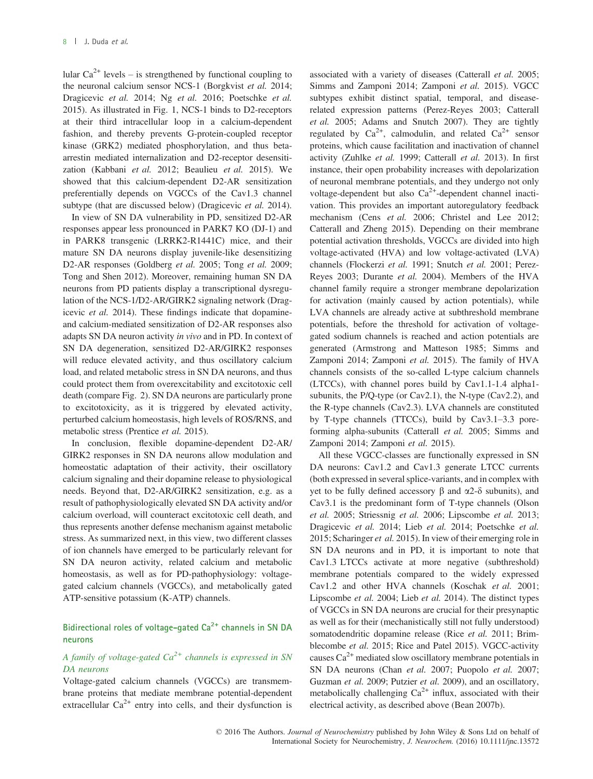lular  $Ca^{2+}$  levels – is strengthened by functional coupling to the neuronal calcium sensor NCS-1 (Borgkvist et al. 2014; Dragicevic et al. 2014; Ng et al. 2016; Poetschke et al. 2015). As illustrated in Fig. 1, NCS-1 binds to D2-receptors at their third intracellular loop in a calcium-dependent fashion, and thereby prevents G-protein-coupled receptor kinase (GRK2) mediated phosphorylation, and thus betaarrestin mediated internalization and D2-receptor desensitization (Kabbani et al. 2012; Beaulieu et al. 2015). We showed that this calcium-dependent D2-AR sensitization preferentially depends on VGCCs of the Cav1.3 channel subtype (that are discussed below) (Dragicevic et al. 2014).

In view of SN DA vulnerability in PD, sensitized D2-AR responses appear less pronounced in PARK7 KO (DJ-1) and in PARK8 transgenic (LRRK2-R1441C) mice, and their mature SN DA neurons display juvenile-like desensitizing D2-AR responses (Goldberg et al. 2005; Tong et al. 2009; Tong and Shen 2012). Moreover, remaining human SN DA neurons from PD patients display a transcriptional dysregulation of the NCS-1/D2-AR/GIRK2 signaling network (Dragicevic et al. 2014). These findings indicate that dopamineand calcium-mediated sensitization of D2-AR responses also adapts SN DA neuron activity in vivo and in PD. In context of SN DA degeneration, sensitized D2-AR/GIRK2 responses will reduce elevated activity, and thus oscillatory calcium load, and related metabolic stress in SN DA neurons, and thus could protect them from overexcitability and excitotoxic cell death (compare Fig. 2). SN DA neurons are particularly prone to excitotoxicity, as it is triggered by elevated activity, perturbed calcium homeostasis, high levels of ROS/RNS, and metabolic stress (Prentice et al. 2015).

In conclusion, flexible dopamine-dependent D2-AR/ GIRK2 responses in SN DA neurons allow modulation and homeostatic adaptation of their activity, their oscillatory calcium signaling and their dopamine release to physiological needs. Beyond that, D2-AR/GIRK2 sensitization, e.g. as a result of pathophysiologically elevated SN DA activity and/or calcium overload, will counteract excitotoxic cell death, and thus represents another defense mechanism against metabolic stress. As summarized next, in this view, two different classes of ion channels have emerged to be particularly relevant for SN DA neuron activity, related calcium and metabolic homeostasis, as well as for PD-pathophysiology: voltagegated calcium channels (VGCCs), and metabolically gated ATP-sensitive potassium (K-ATP) channels.

## Bidirectional roles of voltage-gated  $Ca<sup>2+</sup>$  channels in SN DA neurons

## A family of voltage-gated  $Ca^{2+}$  channels is expressed in SN DA neurons

Voltage-gated calcium channels (VGCCs) are transmembrane proteins that mediate membrane potential-dependent extracellular  $Ca^{2+}$  entry into cells, and their dysfunction is associated with a variety of diseases (Catterall et al. 2005; Simms and Zamponi 2014; Zamponi et al. 2015). VGCC subtypes exhibit distinct spatial, temporal, and diseaserelated expression patterns (Perez-Reyes 2003; Catterall et al. 2005; Adams and Snutch 2007). They are tightly regulated by  $Ca^{2+}$ , calmodulin, and related  $Ca^{2+}$  sensor proteins, which cause facilitation and inactivation of channel activity (Zuhlke et al. 1999; Catterall et al. 2013). In first instance, their open probability increases with depolarization of neuronal membrane potentials, and they undergo not only voltage-dependent but also  $Ca^{2+}$ -dependent channel inactivation. This provides an important autoregulatory feedback mechanism (Cens et al. 2006; Christel and Lee 2012; Catterall and Zheng 2015). Depending on their membrane potential activation thresholds, VGCCs are divided into high voltage-activated (HVA) and low voltage-activated (LVA) channels (Flockerzi et al. 1991; Snutch et al. 2001; Perez-Reyes 2003; Durante et al. 2004). Members of the HVA channel family require a stronger membrane depolarization for activation (mainly caused by action potentials), while LVA channels are already active at subthreshold membrane potentials, before the threshold for activation of voltagegated sodium channels is reached and action potentials are generated (Armstrong and Matteson 1985; Simms and Zamponi 2014; Zamponi et al. 2015). The family of HVA channels consists of the so-called L-type calcium channels (LTCCs), with channel pores build by Cav1.1-1.4 alpha1 subunits, the P/Q-type (or Cav2.1), the N-type (Cav2.2), and the R-type channels (Cav2.3). LVA channels are constituted by T-type channels (TTCCs), build by Cav3.1–3.3 poreforming alpha-subunits (Catterall et al. 2005; Simms and Zamponi 2014; Zamponi et al. 2015).

All these VGCC-classes are functionally expressed in SN DA neurons: Cav1.2 and Cav1.3 generate LTCC currents (both expressed in several splice-variants, and in complex with yet to be fully defined accessory  $\beta$  and  $\alpha$ 2- $\delta$  subunits), and Cav3.1 is the predominant form of T-type channels (Olson et al. 2005; Striessnig et al. 2006; Lipscombe et al. 2013; Dragicevic et al. 2014; Lieb et al. 2014; Poetschke et al. 2015; Scharinger et al. 2015). In view of their emerging role in SN DA neurons and in PD, it is important to note that Cav1.3 LTCCs activate at more negative (subthreshold) membrane potentials compared to the widely expressed Cav1.2 and other HVA channels (Koschak et al. 2001; Lipscombe et al. 2004; Lieb et al. 2014). The distinct types of VGCCs in SN DA neurons are crucial for their presynaptic as well as for their (mechanistically still not fully understood) somatodendritic dopamine release (Rice et al. 2011; Brimblecombe et al. 2015; Rice and Patel 2015). VGCC-activity causes  $Ca^{2+}$  mediated slow oscillatory membrane potentials in SN DA neurons (Chan et al. 2007; Puopolo et al. 2007; Guzman et al. 2009; Putzier et al. 2009), and an oscillatory, metabolically challenging  $Ca^{2+}$  influx, associated with their electrical activity, as described above (Bean 2007b).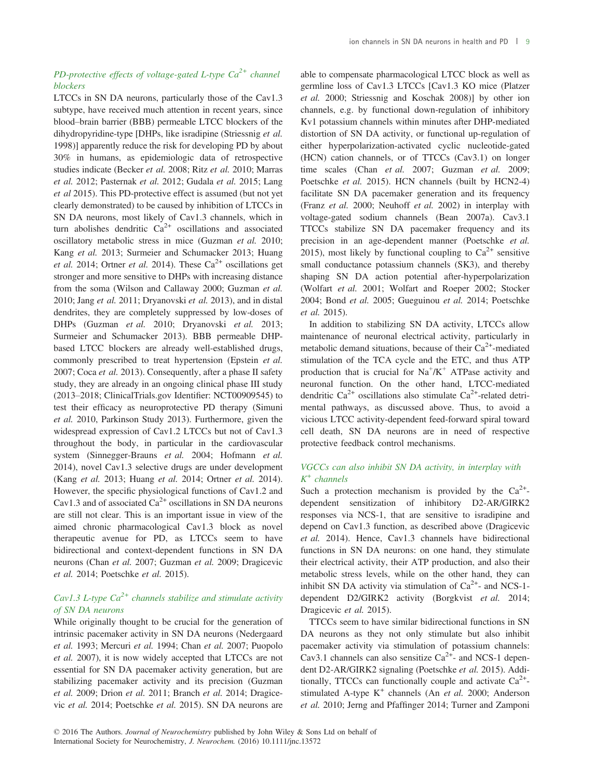## PD-protective effects of voltage-gated L-type  $Ca^{2+}$  channel blockers

LTCCs in SN DA neurons, particularly those of the Cav1.3 subtype, have received much attention in recent years, since blood–brain barrier (BBB) permeable LTCC blockers of the dihydropyridine-type [DHPs, like isradipine (Striessnig et al. 1998)] apparently reduce the risk for developing PD by about 30% in humans, as epidemiologic data of retrospective studies indicate (Becker et al. 2008; Ritz et al. 2010; Marras et al. 2012; Pasternak et al. 2012; Gudala et al. 2015; Lang et al 2015). This PD-protective effect is assumed (but not yet clearly demonstrated) to be caused by inhibition of LTCCs in SN DA neurons, most likely of Cav1.3 channels, which in turn abolishes dendritic  $Ca^{2+}$  oscillations and associated oscillatory metabolic stress in mice (Guzman et al. 2010; Kang et al. 2013; Surmeier and Schumacker 2013; Huang et al. 2014; Ortner et al. 2014). These  $Ca^{2+}$  oscillations get stronger and more sensitive to DHPs with increasing distance from the soma (Wilson and Callaway 2000; Guzman et al. 2010; Jang et al. 2011; Dryanovski et al. 2013), and in distal dendrites, they are completely suppressed by low-doses of DHPs (Guzman et al. 2010; Dryanovski et al. 2013; Surmeier and Schumacker 2013). BBB permeable DHPbased LTCC blockers are already well-established drugs, commonly prescribed to treat hypertension (Epstein et al. 2007; Coca et al. 2013). Consequently, after a phase II safety study, they are already in an ongoing clinical phase III study (2013–2018; ClinicalTrials.gov Identifier: NCT00909545) to test their efficacy as neuroprotective PD therapy (Simuni et al. 2010, Parkinson Study 2013). Furthermore, given the widespread expression of Cav1.2 LTCCs but not of Cav1.3 throughout the body, in particular in the cardiovascular system (Sinnegger-Brauns et al. 2004; Hofmann et al. 2014), novel Cav1.3 selective drugs are under development (Kang et al. 2013; Huang et al. 2014; Ortner et al. 2014). However, the specific physiological functions of Cav1.2 and Cav1.3 and of associated  $Ca^{2+}$  oscillations in SN DA neurons are still not clear. This is an important issue in view of the aimed chronic pharmacological Cav1.3 block as novel therapeutic avenue for PD, as LTCCs seem to have bidirectional and context-dependent functions in SN DA neurons (Chan et al. 2007; Guzman et al. 2009; Dragicevic et al. 2014; Poetschke et al. 2015).

## Cav1.3 L-type  $Ca^{2+}$  channels stabilize and stimulate activity of SN DA neurons

While originally thought to be crucial for the generation of intrinsic pacemaker activity in SN DA neurons (Nedergaard et al. 1993; Mercuri et al. 1994; Chan et al. 2007; Puopolo et al. 2007), it is now widely accepted that LTCCs are not essential for SN DA pacemaker activity generation, but are stabilizing pacemaker activity and its precision (Guzman et al. 2009; Drion et al. 2011; Branch et al. 2014; Dragicevic et al. 2014; Poetschke et al. 2015). SN DA neurons are

able to compensate pharmacological LTCC block as well as germline loss of Cav1.3 LTCCs [Cav1.3 KO mice (Platzer et al. 2000; Striessnig and Koschak 2008)] by other ion channels, e.g. by functional down-regulation of inhibitory Kv1 potassium channels within minutes after DHP-mediated distortion of SN DA activity, or functional up-regulation of either hyperpolarization-activated cyclic nucleotide-gated (HCN) cation channels, or of TTCCs (Cav3.1) on longer time scales (Chan et al. 2007; Guzman et al. 2009; Poetschke et al. 2015). HCN channels (built by HCN2-4) facilitate SN DA pacemaker generation and its frequency (Franz et al. 2000; Neuhoff et al. 2002) in interplay with voltage-gated sodium channels (Bean 2007a). Cav3.1 TTCCs stabilize SN DA pacemaker frequency and its precision in an age-dependent manner (Poetschke et al. 2015), most likely by functional coupling to  $Ca^{2+}$  sensitive small conductance potassium channels (SK3), and thereby shaping SN DA action potential after-hyperpolarization (Wolfart et al. 2001; Wolfart and Roeper 2002; Stocker 2004; Bond et al. 2005; Gueguinou et al. 2014; Poetschke et al. 2015).

In addition to stabilizing SN DA activity, LTCCs allow maintenance of neuronal electrical activity, particularly in metabolic demand situations, because of their  $Ca^{2+}$ -mediated stimulation of the TCA cycle and the ETC, and thus ATP production that is crucial for  $Na^+/K^+$  ATPase activity and neuronal function. On the other hand, LTCC-mediated dendritic  $Ca^{2+}$  oscillations also stimulate  $Ca^{2+}$ -related detrimental pathways, as discussed above. Thus, to avoid a vicious LTCC activity-dependent feed-forward spiral toward cell death, SN DA neurons are in need of respective protective feedback control mechanisms.

#### VGCCs can also inhibit SN DA activity, in interplay with  $K^+$  channels

Such a protection mechanism is provided by the  $Ca^{2+}$ dependent sensitization of inhibitory D2-AR/GIRK2 responses via NCS-1, that are sensitive to isradipine and depend on Cav1.3 function, as described above (Dragicevic et al. 2014). Hence, Cav1.3 channels have bidirectional functions in SN DA neurons: on one hand, they stimulate their electrical activity, their ATP production, and also their metabolic stress levels, while on the other hand, they can inhibit SN DA activity via stimulation of  $Ca^{2+}$ - and NCS-1dependent D2/GIRK2 activity (Borgkvist et al. 2014; Dragicevic et al. 2015).

TTCCs seem to have similar bidirectional functions in SN DA neurons as they not only stimulate but also inhibit pacemaker activity via stimulation of potassium channels: Cav3.1 channels can also sensitize  $Ca^{2+}$ - and NCS-1 dependent D2-AR/GIRK2 signaling (Poetschke et al. 2015). Additionally, TTCCs can functionally couple and activate  $Ca^{2+}$ stimulated A-type  $K^+$  channels (An *et al.* 2000; Anderson et al. 2010; Jerng and Pfaffinger 2014; Turner and Zamponi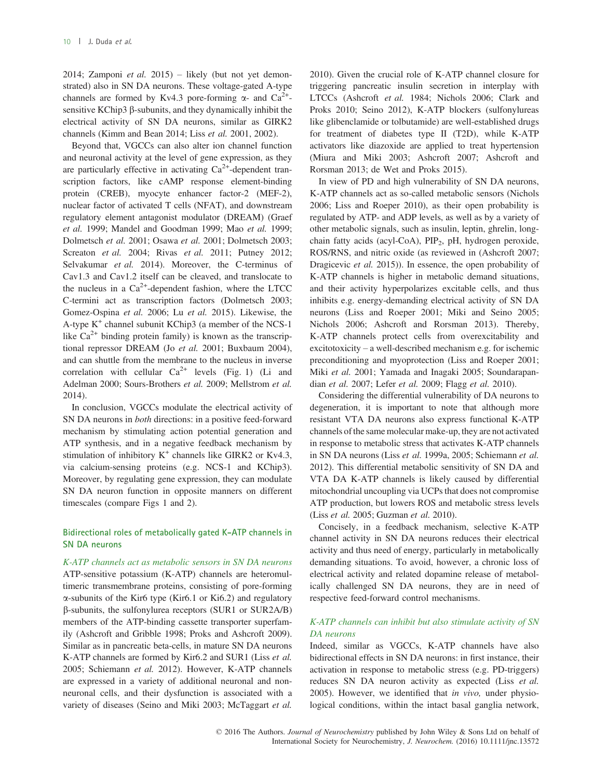2014; Zamponi et al.  $2015$ ) – likely (but not yet demonstrated) also in SN DA neurons. These voltage-gated A-type channels are formed by Kv4.3 pore-forming  $\alpha$ - and Ca<sup>2+</sup>sensitive KChip3  $\beta$ -subunits, and they dynamically inhibit the electrical activity of SN DA neurons, similar as GIRK2 channels (Kimm and Bean 2014; Liss et al. 2001, 2002).

Beyond that, VGCCs can also alter ion channel function and neuronal activity at the level of gene expression, as they are particularly effective in activating  $Ca<sup>2+</sup>$ -dependent transcription factors, like cAMP response element-binding protein (CREB), myocyte enhancer factor-2 (MEF-2), nuclear factor of activated T cells (NFAT), and downstream regulatory element antagonist modulator (DREAM) (Graef et al. 1999; Mandel and Goodman 1999; Mao et al. 1999; Dolmetsch et al. 2001; Osawa et al. 2001; Dolmetsch 2003; Screaton et al. 2004; Rivas et al. 2011; Putney 2012; Selvakumar et al. 2014). Moreover, the C-terminus of Cav1.3 and Cav1.2 itself can be cleaved, and translocate to the nucleus in a  $Ca^{2+}$ -dependent fashion, where the LTCC C-termini act as transcription factors (Dolmetsch 2003; Gomez-Ospina et al. 2006; Lu et al. 2015). Likewise, the A-type  $K^+$  channel subunit KChip3 (a member of the NCS-1 like  $Ca^{2+}$  binding protein family) is known as the transcriptional repressor DREAM (Jo et al. 2001; Buxbaum 2004), and can shuttle from the membrane to the nucleus in inverse correlation with cellular  $Ca^{2+}$  levels (Fig. 1) (Li and Adelman 2000; Sours-Brothers et al. 2009; Mellstrom et al. 2014).

In conclusion, VGCCs modulate the electrical activity of SN DA neurons in both directions: in a positive feed-forward mechanism by stimulating action potential generation and ATP synthesis, and in a negative feedback mechanism by stimulation of inhibitory  $K^+$  channels like GIRK2 or Kv4.3, via calcium-sensing proteins (e.g. NCS-1 and KChip3). Moreover, by regulating gene expression, they can modulate SN DA neuron function in opposite manners on different timescales (compare Figs 1 and 2).

## Bidirectional roles of metabolically gated K-ATP channels in SN DA neurons

K-ATP channels act as metabolic sensors in SN DA neurons ATP-sensitive potassium (K-ATP) channels are heteromultimeric transmembrane proteins, consisting of pore-forming a-subunits of the Kir6 type (Kir6.1 or Ki6.2) and regulatory b-subunits, the sulfonylurea receptors (SUR1 or SUR2A/B) members of the ATP-binding cassette transporter superfamily (Ashcroft and Gribble 1998; Proks and Ashcroft 2009). Similar as in pancreatic beta-cells, in mature SN DA neurons K-ATP channels are formed by Kir6.2 and SUR1 (Liss et al. 2005; Schiemann et al. 2012). However, K-ATP channels are expressed in a variety of additional neuronal and nonneuronal cells, and their dysfunction is associated with a variety of diseases (Seino and Miki 2003; McTaggart et al.

2010). Given the crucial role of K-ATP channel closure for triggering pancreatic insulin secretion in interplay with LTCCs (Ashcroft et al. 1984; Nichols 2006; Clark and Proks 2010; Seino 2012), K-ATP blockers (sulfonylureas like glibenclamide or tolbutamide) are well-established drugs for treatment of diabetes type II (T2D), while K-ATP activators like diazoxide are applied to treat hypertension (Miura and Miki 2003; Ashcroft 2007; Ashcroft and Rorsman 2013; de Wet and Proks 2015).

In view of PD and high vulnerability of SN DA neurons, K-ATP channels act as so-called metabolic sensors (Nichols 2006; Liss and Roeper 2010), as their open probability is regulated by ATP- and ADP levels, as well as by a variety of other metabolic signals, such as insulin, leptin, ghrelin, longchain fatty acids (acyl-CoA),  $PIP<sub>2</sub>$ , pH, hydrogen peroxide, ROS/RNS, and nitric oxide (as reviewed in (Ashcroft 2007; Dragicevic et al. 2015)). In essence, the open probability of K-ATP channels is higher in metabolic demand situations, and their activity hyperpolarizes excitable cells, and thus inhibits e.g. energy-demanding electrical activity of SN DA neurons (Liss and Roeper 2001; Miki and Seino 2005; Nichols 2006; Ashcroft and Rorsman 2013). Thereby, K-ATP channels protect cells from overexcitability and excitotoxicity – a well-described mechanism e.g. for ischemic preconditioning and myoprotection (Liss and Roeper 2001; Miki et al. 2001; Yamada and Inagaki 2005; Soundarapandian et al. 2007; Lefer et al. 2009; Flagg et al. 2010).

Considering the differential vulnerability of DA neurons to degeneration, it is important to note that although more resistant VTA DA neurons also express functional K-ATP channels of the same molecular make-up, they are not activated in response to metabolic stress that activates K-ATP channels in SN DA neurons (Liss et al. 1999a, 2005; Schiemann et al. 2012). This differential metabolic sensitivity of SN DA and VTA DA K-ATP channels is likely caused by differential mitochondrial uncoupling via UCPs that does not compromise ATP production, but lowers ROS and metabolic stress levels (Liss et al. 2005; Guzman et al. 2010).

Concisely, in a feedback mechanism, selective K-ATP channel activity in SN DA neurons reduces their electrical activity and thus need of energy, particularly in metabolically demanding situations. To avoid, however, a chronic loss of electrical activity and related dopamine release of metabolically challenged SN DA neurons, they are in need of respective feed-forward control mechanisms.

#### K-ATP channels can inhibit but also stimulate activity of SN DA neurons

Indeed, similar as VGCCs, K-ATP channels have also bidirectional effects in SN DA neurons: in first instance, their activation in response to metabolic stress (e.g. PD-triggers) reduces SN DA neuron activity as expected (Liss et al. 2005). However, we identified that in vivo, under physiological conditions, within the intact basal ganglia network,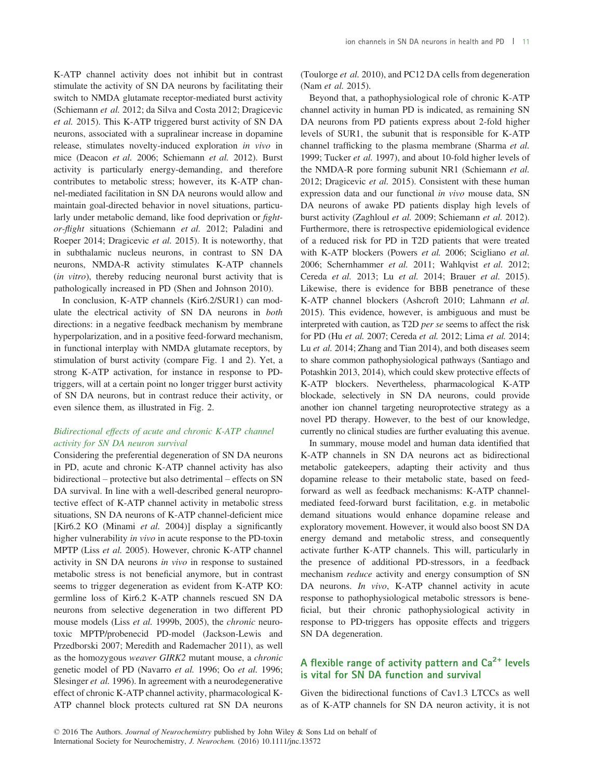K-ATP channel activity does not inhibit but in contrast stimulate the activity of SN DA neurons by facilitating their switch to NMDA glutamate receptor-mediated burst activity (Schiemann et al. 2012; da Silva and Costa 2012; Dragicevic et al. 2015). This K-ATP triggered burst activity of SN DA neurons, associated with a supralinear increase in dopamine release, stimulates novelty-induced exploration in vivo in mice (Deacon et al. 2006; Schiemann et al. 2012). Burst activity is particularly energy-demanding, and therefore contributes to metabolic stress; however, its K-ATP channel-mediated facilitation in SN DA neurons would allow and maintain goal-directed behavior in novel situations, particularly under metabolic demand, like food deprivation or *fight*or-flight situations (Schiemann et al. 2012; Paladini and Roeper 2014; Dragicevic et al. 2015). It is noteworthy, that in subthalamic nucleus neurons, in contrast to SN DA neurons, NMDA-R activity stimulates K-ATP channels (in vitro), thereby reducing neuronal burst activity that is pathologically increased in PD (Shen and Johnson 2010).

In conclusion, K-ATP channels (Kir6.2/SUR1) can modulate the electrical activity of SN DA neurons in both directions: in a negative feedback mechanism by membrane hyperpolarization, and in a positive feed-forward mechanism, in functional interplay with NMDA glutamate receptors, by stimulation of burst activity (compare Fig. 1 and 2). Yet, a strong K-ATP activation, for instance in response to PDtriggers, will at a certain point no longer trigger burst activity of SN DA neurons, but in contrast reduce their activity, or even silence them, as illustrated in Fig. 2.

## Bidirectional effects of acute and chronic K-ATP channel activity for SN DA neuron survival

Considering the preferential degeneration of SN DA neurons in PD, acute and chronic K-ATP channel activity has also bidirectional – protective but also detrimental – effects on SN DA survival. In line with a well-described general neuroprotective effect of K-ATP channel activity in metabolic stress situations, SN DA neurons of K-ATP channel-deficient mice [Kir6.2 KO (Minami et al. 2004)] display a significantly higher vulnerability in vivo in acute response to the PD-toxin MPTP (Liss et al. 2005). However, chronic K-ATP channel activity in SN DA neurons in vivo in response to sustained metabolic stress is not beneficial anymore, but in contrast seems to trigger degeneration as evident from K-ATP KO: germline loss of Kir6.2 K-ATP channels rescued SN DA neurons from selective degeneration in two different PD mouse models (Liss et al. 1999b, 2005), the chronic neurotoxic MPTP/probenecid PD-model (Jackson-Lewis and Przedborski 2007; Meredith and Rademacher 2011), as well as the homozygous weaver GIRK2 mutant mouse, a chronic genetic model of PD (Navarro et al. 1996; Oo et al. 1996; Slesinger et al. 1996). In agreement with a neurodegenerative effect of chronic K-ATP channel activity, pharmacological K-ATP channel block protects cultured rat SN DA neurons (Toulorge et al. 2010), and PC12 DA cells from degeneration (Nam et al. 2015).

Beyond that, a pathophysiological role of chronic K-ATP channel activity in human PD is indicated, as remaining SN DA neurons from PD patients express about 2-fold higher levels of SUR1, the subunit that is responsible for K-ATP channel trafficking to the plasma membrane (Sharma et al. 1999; Tucker et al. 1997), and about 10-fold higher levels of the NMDA-R pore forming subunit NR1 (Schiemann et al. 2012; Dragicevic et al. 2015). Consistent with these human expression data and our functional in vivo mouse data, SN DA neurons of awake PD patients display high levels of burst activity (Zaghloul et al. 2009; Schiemann et al. 2012). Furthermore, there is retrospective epidemiological evidence of a reduced risk for PD in T2D patients that were treated with K-ATP blockers (Powers et al. 2006; Scigliano et al. 2006; Schernhammer et al. 2011; Wahlqvist et al. 2012; Cereda et al. 2013; Lu et al. 2014; Brauer et al. 2015). Likewise, there is evidence for BBB penetrance of these K-ATP channel blockers (Ashcroft 2010; Lahmann et al. 2015). This evidence, however, is ambiguous and must be interpreted with caution, as T2D per se seems to affect the risk for PD (Hu et al. 2007; Cereda et al. 2012; Lima et al. 2014; Lu et al. 2014; Zhang and Tian 2014), and both diseases seem to share common pathophysiological pathways (Santiago and Potashkin 2013, 2014), which could skew protective effects of K-ATP blockers. Nevertheless, pharmacological K-ATP blockade, selectively in SN DA neurons, could provide another ion channel targeting neuroprotective strategy as a novel PD therapy. However, to the best of our knowledge, currently no clinical studies are further evaluating this avenue.

In summary, mouse model and human data identified that K-ATP channels in SN DA neurons act as bidirectional metabolic gatekeepers, adapting their activity and thus dopamine release to their metabolic state, based on feedforward as well as feedback mechanisms: K-ATP channelmediated feed-forward burst facilitation, e.g. in metabolic demand situations would enhance dopamine release and exploratory movement. However, it would also boost SN DA energy demand and metabolic stress, and consequently activate further K-ATP channels. This will, particularly in the presence of additional PD-stressors, in a feedback mechanism reduce activity and energy consumption of SN DA neurons. *In vivo*, K-ATP channel activity in acute response to pathophysiological metabolic stressors is beneficial, but their chronic pathophysiological activity in response to PD-triggers has opposite effects and triggers SN DA degeneration.

## A flexible range of activity pattern and  $Ca<sup>2+</sup>$  levels is vital for SN DA function and survival

Given the bidirectional functions of Cav1.3 LTCCs as well as of K-ATP channels for SN DA neuron activity, it is not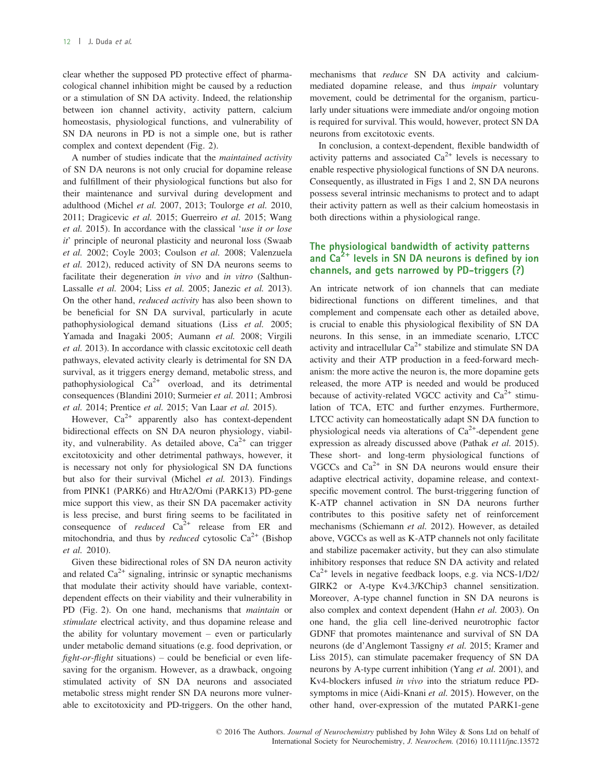clear whether the supposed PD protective effect of pharmacological channel inhibition might be caused by a reduction or a stimulation of SN DA activity. Indeed, the relationship between ion channel activity, activity pattern, calcium homeostasis, physiological functions, and vulnerability of SN DA neurons in PD is not a simple one, but is rather complex and context dependent (Fig. 2).

A number of studies indicate that the maintained activity of SN DA neurons is not only crucial for dopamine release and fulfillment of their physiological functions but also for their maintenance and survival during development and adulthood (Michel et al. 2007, 2013; Toulorge et al. 2010, 2011; Dragicevic et al. 2015; Guerreiro et al. 2015; Wang et al. 2015). In accordance with the classical 'use it or lose it' principle of neuronal plasticity and neuronal loss (Swaab et al. 2002; Coyle 2003; Coulson et al. 2008; Valenzuela et al. 2012), reduced activity of SN DA neurons seems to facilitate their degeneration in vivo and in vitro (Salthun-Lassalle et al. 2004; Liss et al. 2005; Janezic et al. 2013). On the other hand, *reduced activity* has also been shown to be beneficial for SN DA survival, particularly in acute pathophysiological demand situations (Liss et al. 2005; Yamada and Inagaki 2005; Aumann et al. 2008; Virgili et al. 2013). In accordance with classic excitotoxic cell death pathways, elevated activity clearly is detrimental for SN DA survival, as it triggers energy demand, metabolic stress, and pathophysiological  $Ca^{2+}$  overload, and its detrimental consequences (Blandini 2010; Surmeier et al. 2011; Ambrosi et al. 2014; Prentice et al. 2015; Van Laar et al. 2015).

However,  $Ca^{2+}$  apparently also has context-dependent bidirectional effects on SN DA neuron physiology, viability, and vulnerability. As detailed above,  $Ca^{2+}$  can trigger excitotoxicity and other detrimental pathways, however, it is necessary not only for physiological SN DA functions but also for their survival (Michel et al. 2013). Findings from PINK1 (PARK6) and HtrA2/Omi (PARK13) PD-gene mice support this view, as their SN DA pacemaker activity is less precise, and burst firing seems to be facilitated in consequence of *reduced*  $Ca^{2+}$  release from ER and mitochondria, and thus by *reduced* cytosolic  $Ca^{2+}$  (Bishop et al. 2010).

Given these bidirectional roles of SN DA neuron activity and related  $Ca^{2+}$  signaling, intrinsic or synaptic mechanisms that modulate their activity should have variable, contextdependent effects on their viability and their vulnerability in PD (Fig. 2). On one hand, mechanisms that *maintain* or stimulate electrical activity, and thus dopamine release and the ability for voluntary movement – even or particularly under metabolic demand situations (e.g. food deprivation, or  $fightharpoonup$ -*flight* situations) – could be beneficial or even lifesaving for the organism. However, as a drawback, ongoing stimulated activity of SN DA neurons and associated metabolic stress might render SN DA neurons more vulnerable to excitotoxicity and PD-triggers. On the other hand, mechanisms that reduce SN DA activity and calciummediated dopamine release, and thus impair voluntary movement, could be detrimental for the organism, particularly under situations were immediate and/or ongoing motion is required for survival. This would, however, protect SN DA neurons from excitotoxic events.

In conclusion, a context-dependent, flexible bandwidth of activity patterns and associated  $Ca^{2+}$  levels is necessary to enable respective physiological functions of SN DA neurons. Consequently, as illustrated in Figs 1 and 2, SN DA neurons possess several intrinsic mechanisms to protect and to adapt their activity pattern as well as their calcium homeostasis in both directions within a physiological range.

## The physiological bandwidth of activity patterns and  $Ca<sup>2+</sup>$  levels in SN DA neurons is defined by ion channels, and gets narrowed by PD-triggers (?)

An intricate network of ion channels that can mediate bidirectional functions on different timelines, and that complement and compensate each other as detailed above, is crucial to enable this physiological flexibility of SN DA neurons. In this sense, in an immediate scenario, LTCC activity and intracellular  $Ca^{2+}$  stabilize and stimulate SN DA activity and their ATP production in a feed-forward mechanism: the more active the neuron is, the more dopamine gets released, the more ATP is needed and would be produced because of activity-related VGCC activity and  $Ca<sup>2+</sup>$  stimulation of TCA, ETC and further enzymes. Furthermore, LTCC activity can homeostatically adapt SN DA function to physiological needs via alterations of  $Ca^{2+}$ -dependent gene expression as already discussed above (Pathak et al. 2015). These short- and long-term physiological functions of VGCCs and  $Ca<sup>2+</sup>$  in SN DA neurons would ensure their adaptive electrical activity, dopamine release, and contextspecific movement control. The burst-triggering function of K-ATP channel activation in SN DA neurons further contributes to this positive safety net of reinforcement mechanisms (Schiemann et al. 2012). However, as detailed above, VGCCs as well as K-ATP channels not only facilitate and stabilize pacemaker activity, but they can also stimulate inhibitory responses that reduce SN DA activity and related  $Ca<sup>2+</sup>$  levels in negative feedback loops, e.g. via NCS-1/D2/ GIRK2 or A-type Kv4.3/KChip3 channel sensitization. Moreover, A-type channel function in SN DA neurons is also complex and context dependent (Hahn et al. 2003). On one hand, the glia cell line-derived neurotrophic factor GDNF that promotes maintenance and survival of SN DA neurons (de d'Anglemont Tassigny et al. 2015; Kramer and Liss 2015), can stimulate pacemaker frequency of SN DA neurons by A-type current inhibition (Yang et al. 2001), and Kv4-blockers infused in vivo into the striatum reduce PDsymptoms in mice (Aidi-Knani et al. 2015). However, on the other hand, over-expression of the mutated PARK1-gene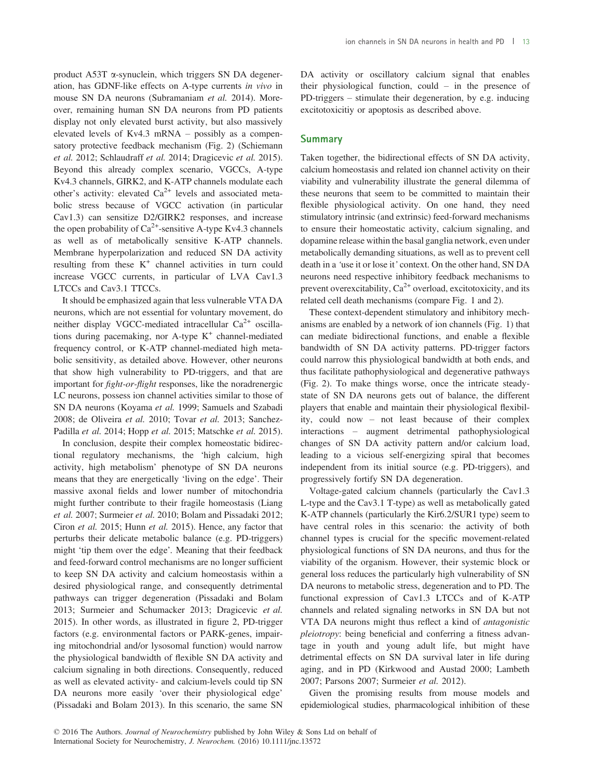product A53T a-synuclein, which triggers SN DA degeneration, has GDNF-like effects on A-type currents in vivo in mouse SN DA neurons (Subramaniam et al. 2014). Moreover, remaining human SN DA neurons from PD patients display not only elevated burst activity, but also massively elevated levels of Kv4.3 mRNA – possibly as a compensatory protective feedback mechanism (Fig. 2) (Schiemann et al. 2012; Schlaudraff et al. 2014; Dragicevic et al. 2015). Beyond this already complex scenario, VGCCs, A-type Kv4.3 channels, GIRK2, and K-ATP channels modulate each other's activity: elevated  $Ca^{2+}$  levels and associated metabolic stress because of VGCC activation (in particular Cav1.3) can sensitize D2/GIRK2 responses, and increase the open probability of  $Ca^{2+}$ -sensitive A-type Kv4.3 channels as well as of metabolically sensitive K-ATP channels. Membrane hyperpolarization and reduced SN DA activity resulting from these  $K^+$  channel activities in turn could increase VGCC currents, in particular of LVA Cav1.3 LTCCs and Cav3.1 TTCCs.

It should be emphasized again that less vulnerable VTA DA neurons, which are not essential for voluntary movement, do neither display VGCC-mediated intracellular  $Ca^{2+}$  oscillations during pacemaking, nor A-type  $K^+$  channel-mediated frequency control, or K-ATP channel-mediated high metabolic sensitivity, as detailed above. However, other neurons that show high vulnerability to PD-triggers, and that are important for fight-or-flight responses, like the noradrenergic LC neurons, possess ion channel activities similar to those of SN DA neurons (Koyama et al. 1999; Samuels and Szabadi 2008; de Oliveira et al. 2010; Tovar et al. 2013; Sanchez-Padilla et al. 2014; Hopp et al. 2015; Matschke et al. 2015).

In conclusion, despite their complex homeostatic bidirectional regulatory mechanisms, the 'high calcium, high activity, high metabolism' phenotype of SN DA neurons means that they are energetically 'living on the edge'. Their massive axonal fields and lower number of mitochondria might further contribute to their fragile homeostasis (Liang et al. 2007; Surmeier et al. 2010; Bolam and Pissadaki 2012; Ciron et al. 2015; Hunn et al. 2015). Hence, any factor that perturbs their delicate metabolic balance (e.g. PD-triggers) might 'tip them over the edge'. Meaning that their feedback and feed-forward control mechanisms are no longer sufficient to keep SN DA activity and calcium homeostasis within a desired physiological range, and consequently detrimental pathways can trigger degeneration (Pissadaki and Bolam 2013; Surmeier and Schumacker 2013; Dragicevic et al. 2015). In other words, as illustrated in figure 2, PD-trigger factors (e.g. environmental factors or PARK-genes, impairing mitochondrial and/or lysosomal function) would narrow the physiological bandwidth of flexible SN DA activity and calcium signaling in both directions. Consequently, reduced as well as elevated activity- and calcium-levels could tip SN DA neurons more easily 'over their physiological edge' (Pissadaki and Bolam 2013). In this scenario, the same SN

DA activity or oscillatory calcium signal that enables their physiological function, could – in the presence of PD-triggers – stimulate their degeneration, by e.g. inducing excitotoxicitiy or apoptosis as described above.

## **Summary**

Taken together, the bidirectional effects of SN DA activity, calcium homeostasis and related ion channel activity on their viability and vulnerability illustrate the general dilemma of these neurons that seem to be committed to maintain their flexible physiological activity. On one hand, they need stimulatory intrinsic (and extrinsic) feed-forward mechanisms to ensure their homeostatic activity, calcium signaling, and dopamine release within the basal ganglia network, even under metabolically demanding situations, as well as to prevent cell death in a 'use it or lose it' context. On the other hand, SN DA neurons need respective inhibitory feedback mechanisms to prevent overexcitability,  $Ca^{2+}$  overload, excitotoxicity, and its related cell death mechanisms (compare Fig. 1 and 2).

These context-dependent stimulatory and inhibitory mechanisms are enabled by a network of ion channels (Fig. 1) that can mediate bidirectional functions, and enable a flexible bandwidth of SN DA activity patterns. PD-trigger factors could narrow this physiological bandwidth at both ends, and thus facilitate pathophysiological and degenerative pathways (Fig. 2). To make things worse, once the intricate steadystate of SN DA neurons gets out of balance, the different players that enable and maintain their physiological flexibility, could now – not least because of their complex interactions – augment detrimental pathophysiological changes of SN DA activity pattern and/or calcium load, leading to a vicious self-energizing spiral that becomes independent from its initial source (e.g. PD-triggers), and progressively fortify SN DA degeneration.

Voltage-gated calcium channels (particularly the Cav1.3 L-type and the Cav3.1 T-type) as well as metabolically gated K-ATP channels (particularly the Kir6.2/SUR1 type) seem to have central roles in this scenario: the activity of both channel types is crucial for the specific movement-related physiological functions of SN DA neurons, and thus for the viability of the organism. However, their systemic block or general loss reduces the particularly high vulnerability of SN DA neurons to metabolic stress, degeneration and to PD. The functional expression of Cav1.3 LTCCs and of K-ATP channels and related signaling networks in SN DA but not VTA DA neurons might thus reflect a kind of antagonistic pleiotropy: being beneficial and conferring a fitness advantage in youth and young adult life, but might have detrimental effects on SN DA survival later in life during aging, and in PD (Kirkwood and Austad 2000; Lambeth 2007; Parsons 2007; Surmeier et al. 2012).

Given the promising results from mouse models and epidemiological studies, pharmacological inhibition of these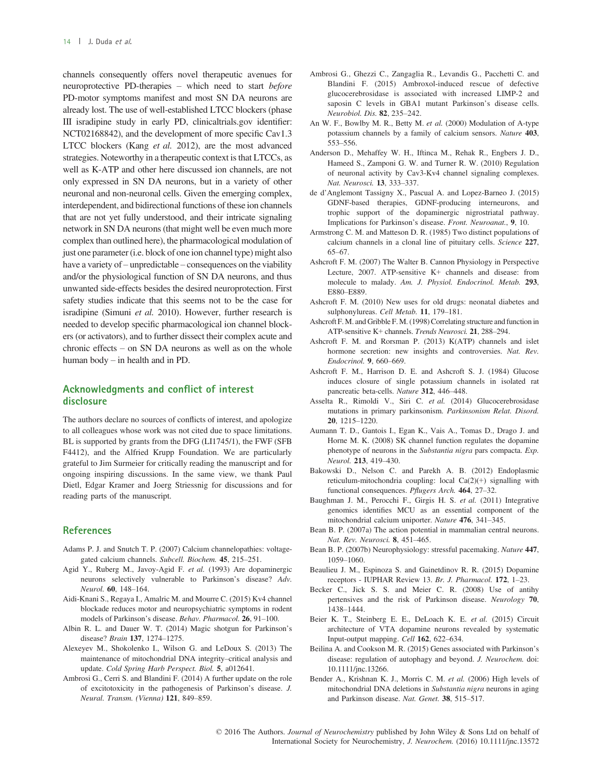channels consequently offers novel therapeutic avenues for neuroprotective PD-therapies – which need to start before PD-motor symptoms manifest and most SN DA neurons are already lost. The use of well-established LTCC blockers (phase III isradipine study in early PD, clinicaltrials.gov identifier: NCT02168842), and the development of more specific Cav1.3 LTCC blockers (Kang et al. 2012), are the most advanced strategies. Noteworthy in a therapeutic context is that LTCCs, as well as K-ATP and other here discussed ion channels, are not only expressed in SN DA neurons, but in a variety of other neuronal and non-neuronal cells. Given the emerging complex, interdependent, and bidirectional functions of these ion channels that are not yet fully understood, and their intricate signaling network in SN DA neurons (that might well be even much more complex than outlined here), the pharmacological modulation of just one parameter (i.e. block of one ion channel type) might also have a variety of – unpredictable – consequences on the viability and/or the physiological function of SN DA neurons, and thus unwanted side-effects besides the desired neuroprotection. First safety studies indicate that this seems not to be the case for isradipine (Simuni et al. 2010). However, further research is needed to develop specific pharmacological ion channel blockers (or activators), and to further dissect their complex acute and chronic effects – on SN DA neurons as well as on the whole human body – in health and in PD.

## Acknowledgments and conflict of interest disclosure

The authors declare no sources of conflicts of interest, and apologize to all colleagues whose work was not cited due to space limitations. BL is supported by grants from the DFG (LI1745/1), the FWF (SFB F4412), and the Alfried Krupp Foundation. We are particularly grateful to Jim Surmeier for critically reading the manuscript and for ongoing inspiring discussions. In the same view, we thank Paul Dietl, Edgar Kramer and Joerg Striessnig for discussions and for reading parts of the manuscript.

#### **References**

- Adams P. J. and Snutch T. P. (2007) Calcium channelopathies: voltagegated calcium channels. Subcell. Biochem. 45, 215–251.
- Agid Y., Ruberg M., Javoy-Agid F. et al. (1993) Are dopaminergic neurons selectively vulnerable to Parkinson's disease? Adv. Neurol. 60, 148–164.
- Aidi-Knani S., Regaya I., Amalric M. and Mourre C. (2015) Kv4 channel blockade reduces motor and neuropsychiatric symptoms in rodent models of Parkinson's disease. Behav. Pharmacol. 26, 91–100.
- Albin R. L. and Dauer W. T. (2014) Magic shotgun for Parkinson's disease? Brain 137, 1274–1275.
- Alexeyev M., Shokolenko I., Wilson G. and LeDoux S. (2013) The maintenance of mitochondrial DNA integrity–critical analysis and update. Cold Spring Harb Perspect. Biol. 5, a012641.
- Ambrosi G., Cerri S. and Blandini F. (2014) A further update on the role of excitotoxicity in the pathogenesis of Parkinson's disease. J. Neural. Transm. (Vienna) 121, 849–859.
- Ambrosi G., Ghezzi C., Zangaglia R., Levandis G., Pacchetti C. and Blandini F. (2015) Ambroxol-induced rescue of defective glucocerebrosidase is associated with increased LIMP-2 and saposin C levels in GBA1 mutant Parkinson's disease cells. Neurobiol. Dis. 82, 235–242.
- An W. F., Bowlby M. R., Betty M. et al. (2000) Modulation of A-type potassium channels by a family of calcium sensors. Nature 403, 553–556.
- Anderson D., Mehaffey W. H., Iftinca M., Rehak R., Engbers J. D., Hameed S., Zamponi G. W. and Turner R. W. (2010) Regulation of neuronal activity by Cav3-Kv4 channel signaling complexes. Nat. Neurosci. 13, 333–337.
- de d'Anglemont Tassigny X., Pascual A. and Lopez-Barneo J. (2015) GDNF-based therapies, GDNF-producing interneurons, and trophic support of the dopaminergic nigrostriatal pathway. Implications for Parkinson's disease. Front. Neuroanat., 9, 10.
- Armstrong C. M. and Matteson D. R. (1985) Two distinct populations of calcium channels in a clonal line of pituitary cells. Science 227, 65–67.
- Ashcroft F. M. (2007) The Walter B. Cannon Physiology in Perspective Lecture, 2007. ATP-sensitive K+ channels and disease: from molecule to malady. Am. J. Physiol. Endocrinol. Metab. 293, E880–E889.
- Ashcroft F. M. (2010) New uses for old drugs: neonatal diabetes and sulphonylureas. Cell Metab. 11, 179–181.
- Ashcroft F. M. and Gribble F. M. (1998) Correlating structure and function in ATP-sensitive K+ channels. Trends Neurosci. 21, 288–294.
- Ashcroft F. M. and Rorsman P. (2013) K(ATP) channels and islet hormone secretion: new insights and controversies. Nat. Rev. Endocrinol. 9, 660–669.
- Ashcroft F. M., Harrison D. E. and Ashcroft S. J. (1984) Glucose induces closure of single potassium channels in isolated rat pancreatic beta-cells. Nature 312, 446–448.
- Asselta R., Rimoldi V., Siri C. et al. (2014) Glucocerebrosidase mutations in primary parkinsonism. Parkinsonism Relat. Disord. 20, 1215–1220.
- Aumann T. D., Gantois I., Egan K., Vais A., Tomas D., Drago J. and Horne M. K. (2008) SK channel function regulates the dopamine phenotype of neurons in the Substantia nigra pars compacta. Exp. Neurol. 213, 419–430.
- Bakowski D., Nelson C. and Parekh A. B. (2012) Endoplasmic reticulum-mitochondria coupling: local Ca(2)(+) signalling with functional consequences. Pflugers Arch. 464, 27–32.
- Baughman J. M., Perocchi F., Girgis H. S. et al. (2011) Integrative genomics identifies MCU as an essential component of the mitochondrial calcium uniporter. Nature 476, 341–345.
- Bean B. P. (2007a) The action potential in mammalian central neurons. Nat. Rev. Neurosci. 8, 451–465.
- Bean B. P. (2007b) Neurophysiology: stressful pacemaking. Nature 447, 1059–1060.
- Beaulieu J. M., Espinoza S. and Gainetdinov R. R. (2015) Dopamine receptors - IUPHAR Review 13. Br. J. Pharmacol. 172, 1–23.
- Becker C., Jick S. S. and Meier C. R. (2008) Use of antihy pertensives and the risk of Parkinson disease. Neurology 70, 1438–1444.
- Beier K. T., Steinberg E. E., DeLoach K. E. et al. (2015) Circuit architecture of VTA dopamine neurons revealed by systematic Input-output mapping. Cell 162, 622–634.
- Beilina A. and Cookson M. R. (2015) Genes associated with Parkinson's disease: regulation of autophagy and beyond. J. Neurochem. doi: [10.1111/jnc.13266.](http://dx.doi.org/10.1111/jnc.13266)
- Bender A., Krishnan K. J., Morris C. M. et al. (2006) High levels of mitochondrial DNA deletions in Substantia nigra neurons in aging and Parkinson disease. Nat. Genet. 38, 515–517.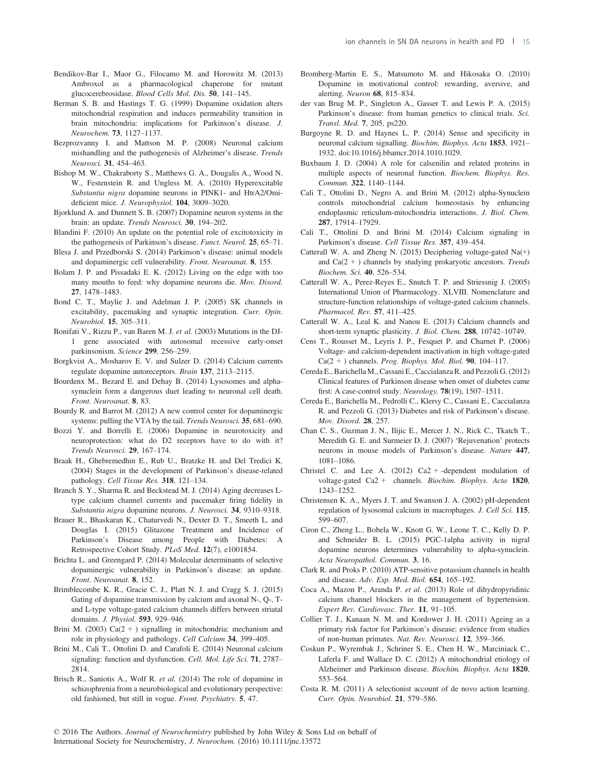- Bendikov-Bar I., Maor G., Filocamo M. and Horowitz M. (2013) Ambroxol as a pharmacological chaperone for mutant glucocerebrosidase. Blood Cells Mol. Dis. 50, 141–145.
- Berman S. B. and Hastings T. G. (1999) Dopamine oxidation alters mitochondrial respiration and induces permeability transition in brain mitochondria: implications for Parkinson's disease. J. Neurochem. 73, 1127–1137.
- Bezprozvanny I. and Mattson M. P. (2008) Neuronal calcium mishandling and the pathogenesis of Alzheimer's disease. Trends Neurosci. 31, 454–463.
- Bishop M. W., Chakraborty S., Matthews G. A., Dougalis A., Wood N. W., Festenstein R. and Ungless M. A. (2010) Hyperexcitable Substantia nigra dopamine neurons in PINK1- and HtrA2/Omideficient mice. J. Neurophysiol. 104, 3009–3020.
- Bjorklund A. and Dunnett S. B. (2007) Dopamine neuron systems in the brain: an update. Trends Neurosci. 30, 194–202.
- Blandini F. (2010) An update on the potential role of excitotoxicity in the pathogenesis of Parkinson's disease. Funct. Neurol. 25, 65–71.
- Blesa J. and Przedborski S. (2014) Parkinson's disease: animal models and dopaminergic cell vulnerability. Front. Neuroanat. 8, 155.
- Bolam J. P. and Pissadaki E. K. (2012) Living on the edge with too many mouths to feed: why dopamine neurons die. Mov. Disord. 27, 1478–1483.
- Bond C. T., Maylie J. and Adelman J. P. (2005) SK channels in excitability, pacemaking and synaptic integration. Curr. Opin. Neurobiol. 15, 305–311.
- Bonifati V., Rizzu P., van Baren M. J. et al. (2003) Mutations in the DJ-1 gene associated with autosomal recessive early-onset parkinsonism. Science 299, 256–259.
- Borgkvist A., Mosharov E. V. and Sulzer D. (2014) Calcium currents regulate dopamine autoreceptors. Brain 137, 2113–2115.
- Bourdenx M., Bezard E. and Dehay B. (2014) Lysosomes and alphasynuclein form a dangerous duet leading to neuronal cell death. Front. Neuroanat. 8, 83.
- Bourdy R. and Barrot M. (2012) A new control center for dopaminergic systems: pulling the VTA by the tail. *Trends Neurosci*. **35**, 681–690.
- Bozzi Y. and Borrelli E. (2006) Dopamine in neurotoxicity and neuroprotection: what do D2 receptors have to do with it? Trends Neurosci. 29, 167–174.
- Braak H., Ghebremedhin E., Rub U., Bratzke H. and Del Tredici K. (2004) Stages in the development of Parkinson's disease-related pathology. Cell Tissue Res. 318, 121–134.
- Branch S. Y., Sharma R. and Beckstead M. J. (2014) Aging decreases Ltype calcium channel currents and pacemaker firing fidelity in Substantia nigra dopamine neurons. J. Neurosci. 34, 9310–9318.
- Brauer R., Bhaskaran K., Chaturvedi N., Dexter D. T., Smeeth L. and Douglas I. (2015) Glitazone Treatment and Incidence of Parkinson's Disease among People with Diabetes: A Retrospective Cohort Study. PLoS Med. 12(7), e1001854.
- Brichta L. and Greengard P. (2014) Molecular determinants of selective dopaminergic vulnerability in Parkinson's disease: an update. Front. Neuroanat. 8, 152.
- Brimblecombe K. R., Gracie C. J., Platt N. J. and Cragg S. J. (2015) Gating of dopamine transmission by calcium and axonal N-, Q-, Tand L-type voltage-gated calcium channels differs between striatal domains. J. Physiol. 593, 929–946.
- Brini M. (2003)  $Ca(2 + )$  signalling in mitochondria: mechanism and role in physiology and pathology. Cell Calcium 34, 399–405.
- Brini M., Cali T., Ottolini D. and Carafoli E. (2014) Neuronal calcium signaling: function and dysfunction. Cell. Mol. Life Sci. 71, 2787-2814.
- Brisch R., Saniotis A., Wolf R. et al. (2014) The role of dopamine in schizophrenia from a neurobiological and evolutionary perspective: old fashioned, but still in vogue. Front. Psychiatry. 5, 47.
- Bromberg-Martin E. S., Matsumoto M. and Hikosaka O. (2010) Dopamine in motivational control: rewarding, aversive, and alerting. Neuron 68, 815–834.
- der van Brug M. P., Singleton A., Gasser T. and Lewis P. A. (2015) Parkinson's disease: from human genetics to clinical trials. Sci. Transl. Med. 7, 205, ps220.
- Burgoyne R. D. and Haynes L. P. (2014) Sense and specificity in neuronal calcium signalling. Biochim. Biophys. Acta 1853, 1921– 1932. doi:[10.1016/j.bbamcr.2014.1010.1029.](http://dx.doi.org/10.1016/j.bbamcr.2014.1010.1029)
- Buxbaum J. D. (2004) A role for calsenilin and related proteins in multiple aspects of neuronal function. Biochem. Biophys. Res. Commun. 322, 1140–1144.
- Cali T., Ottolini D., Negro A. and Brini M. (2012) alpha-Synuclein controls mitochondrial calcium homeostasis by enhancing endoplasmic reticulum-mitochondria interactions. J. Biol. Chem. 287, 17914–17929.
- Cali T., Ottolini D. and Brini M. (2014) Calcium signaling in Parkinson's disease. Cell Tissue Res. 357, 439–454.
- Catterall W. A. and Zheng N. (2015) Deciphering voltage-gated Na(+) and  $Ca(2 + )$  channels by studying prokaryotic ancestors. Trends Biochem. Sci. 40, 526–534.
- Catterall W. A., Perez-Reyes E., Snutch T. P. and Striessnig J. (2005) International Union of Pharmacology. XLVIII. Nomenclature and structure-function relationships of voltage-gated calcium channels. Pharmacol. Rev. 57, 411–425.
- Catterall W. A., Leal K. and Nanou E. (2013) Calcium channels and short-term synaptic plasticity. J. Biol. Chem. 288, 10742–10749.
- Cens T., Rousset M., Leyris J. P., Fesquet P. and Charnet P. (2006) Voltage- and calcium-dependent inactivation in high voltage-gated  $Ca(2 +)$  channels. *Prog. Biophys. Mol. Biol.* **90**, 104–117.
- Cereda E., Barichella M., Cassani E., Caccialanza R. and Pezzoli G. (2012) Clinical features of Parkinson disease when onset of diabetes came first: A case-control study. Neurology. 78(19), 1507–1511.
- Cereda E., Barichella M., Pedrolli C., Klersy C., Cassani E., Caccialanza R. and Pezzoli G. (2013) Diabetes and risk of Parkinson's disease. Mov. Disord. 28, 257.
- Chan C. S., Guzman J. N., Ilijic E., Mercer J. N., Rick C., Tkatch T., Meredith G. E. and Surmeier D. J. (2007) 'Rejuvenation' protects neurons in mouse models of Parkinson's disease. Nature 447, 1081–1086.
- Christel C. and Lee A.  $(2012)$  Ca2 + -dependent modulation of voltage-gated Ca2 + channels. Biochim. Biophys. Acta 1820, 1243–1252.
- Christensen K. A., Myers J. T. and Swanson J. A. (2002) pH-dependent regulation of lysosomal calcium in macrophages. J. Cell Sci. 115, 599–607.
- Ciron C., Zheng L., Bobela W., Knott G. W., Leone T. C., Kelly D. P. and Schneider B. L. (2015) PGC-1alpha activity in nigral dopamine neurons determines vulnerability to alpha-synuclein. Acta Neuropathol. Commun. 3, 16.
- Clark R. and Proks P. (2010) ATP-sensitive potassium channels in health and disease. Adv. Exp. Med. Biol. 654, 165–192.
- Coca A., Mazon P., Aranda P. et al. (2013) Role of dihydropyridinic calcium channel blockers in the management of hypertension. Expert Rev. Cardiovasc. Ther. 11, 91–105.
- Collier T. J., Kanaan N. M. and Kordower J. H. (2011) Ageing as a primary risk factor for Parkinson's disease: evidence from studies of non-human primates. Nat. Rev. Neurosci. 12, 359–366.
- Coskun P., Wyrembak J., Schriner S. E., Chen H. W., Marciniack C., Laferla F. and Wallace D. C. (2012) A mitochondrial etiology of Alzheimer and Parkinson disease. Biochim. Biophys. Acta 1820, 553–564.
- Costa R. M. (2011) A selectionist account of de novo action learning. Curr. Opin. Neurobiol. 21, 579–586.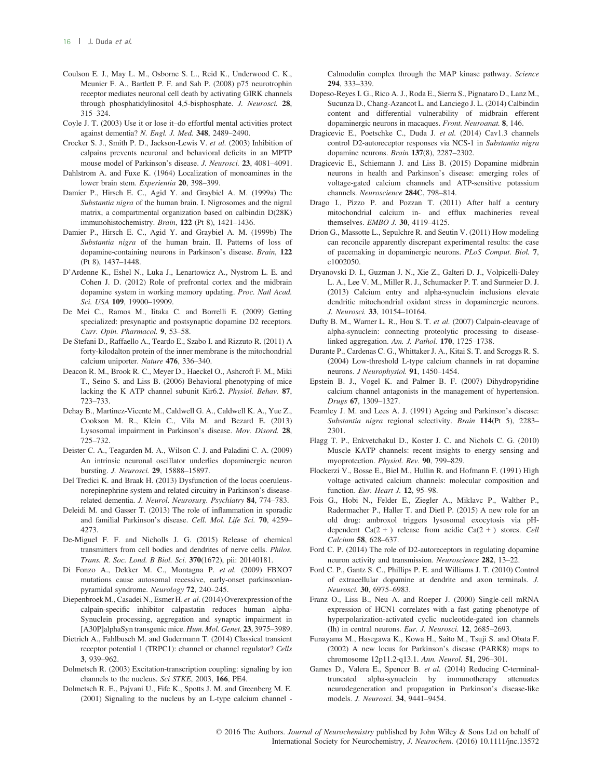- Coulson E. J., May L. M., Osborne S. L., Reid K., Underwood C. K., Meunier F. A., Bartlett P. F. and Sah P. (2008) p75 neurotrophin receptor mediates neuronal cell death by activating GIRK channels through phosphatidylinositol 4,5-bisphosphate. J. Neurosci. 28, 315–324.
- Coyle J. T. (2003) Use it or lose it–do effortful mental activities protect against dementia? N. Engl. J. Med. 348, 2489–2490.
- Crocker S. J., Smith P. D., Jackson-Lewis V. et al. (2003) Inhibition of calpains prevents neuronal and behavioral deficits in an MPTP mouse model of Parkinson's disease. J. Neurosci. 23, 4081–4091.
- Dahlstrom A. and Fuxe K. (1964) Localization of monoamines in the lower brain stem. Experientia 20, 398–399.
- Damier P., Hirsch E. C., Agid Y. and Graybiel A. M. (1999a) The Substantia nigra of the human brain. I. Nigrosomes and the nigral matrix, a compartmental organization based on calbindin D(28K) immunohistochemistry. Brain, 122 (Pt 8), 1421–1436.
- Damier P., Hirsch E. C., Agid Y. and Graybiel A. M. (1999b) The Substantia nigra of the human brain. II. Patterns of loss of dopamine-containing neurons in Parkinson's disease. Brain, 122 (Pt 8), 1437–1448.
- D'Ardenne K., Eshel N., Luka J., Lenartowicz A., Nystrom L. E. and Cohen J. D. (2012) Role of prefrontal cortex and the midbrain dopamine system in working memory updating. Proc. Natl Acad. Sci. USA 109, 19900–19909.
- De Mei C., Ramos M., Iitaka C. and Borrelli E. (2009) Getting specialized: presynaptic and postsynaptic dopamine D2 receptors. Curr. Opin. Pharmacol. 9, 53–58.
- De Stefani D., Raffaello A., Teardo E., Szabo I. and Rizzuto R. (2011) A forty-kilodalton protein of the inner membrane is the mitochondrial calcium uniporter. Nature 476, 336–340.
- Deacon R. M., Brook R. C., Meyer D., Haeckel O., Ashcroft F. M., Miki T., Seino S. and Liss B. (2006) Behavioral phenotyping of mice lacking the K ATP channel subunit Kir6.2. Physiol. Behav. 87, 723–733.
- Dehay B., Martinez-Vicente M., Caldwell G. A., Caldwell K. A., Yue Z., Cookson M. R., Klein C., Vila M. and Bezard E. (2013) Lysosomal impairment in Parkinson's disease. Mov. Disord. 28, 725–732.
- Deister C. A., Teagarden M. A., Wilson C. J. and Paladini C. A. (2009) An intrinsic neuronal oscillator underlies dopaminergic neuron bursting. J. Neurosci. 29, 15888–15897.
- Del Tredici K. and Braak H. (2013) Dysfunction of the locus coeruleusnorepinephrine system and related circuitry in Parkinson's diseaserelated dementia. J. Neurol. Neurosurg. Psychiatry 84, 774–783.
- Deleidi M. and Gasser T. (2013) The role of inflammation in sporadic and familial Parkinson's disease. Cell. Mol. Life Sci. 70, 4259– 4273.
- De-Miguel F. F. and Nicholls J. G. (2015) Release of chemical transmitters from cell bodies and dendrites of nerve cells. Philos. Trans. R. Soc. Lond. B Biol. Sci. 370(1672), pii: 20140181.
- Di Fonzo A., Dekker M. C., Montagna P. et al. (2009) FBXO7 mutations cause autosomal recessive, early-onset parkinsonianpyramidal syndrome. Neurology 72, 240–245.
- Diepenbroek M., Casadei N., Esmer H. et al.(2014) Overexpression of the calpain-specific inhibitor calpastatin reduces human alpha-Synuclein processing, aggregation and synaptic impairment in [A30P]alphaSyn transgenic mice. Hum. Mol. Genet. 23, 3975–3989.
- Dietrich A., Fahlbusch M. and Gudermann T. (2014) Classical transient receptor potential 1 (TRPC1): channel or channel regulator? Cells 3, 939–962.
- Dolmetsch R. (2003) Excitation-transcription coupling: signaling by ion channels to the nucleus. Sci STKE, 2003, 166, PE4.
- Dolmetsch R. E., Pajvani U., Fife K., Spotts J. M. and Greenberg M. E. (2001) Signaling to the nucleus by an L-type calcium channel -

Calmodulin complex through the MAP kinase pathway. Science 294, 333–339.

- Dopeso-Reyes I. G., Rico A. J., Roda E., Sierra S., Pignataro D., Lanz M., Sucunza D., Chang-Azancot L. and Lanciego J. L. (2014) Calbindin content and differential vulnerability of midbrain efferent dopaminergic neurons in macaques. Front. Neuroanat. 8, 146.
- Dragicevic E., Poetschke C., Duda J. et al. (2014) Cav1.3 channels control D2-autoreceptor responses via NCS-1 in Substantia nigra dopamine neurons. Brain 137(8), 2287–2302.
- Dragicevic E., Schiemann J. and Liss B. (2015) Dopamine midbrain neurons in health and Parkinson's disease: emerging roles of voltage-gated calcium channels and ATP-sensitive potassium channels. Neuroscience 284C, 798–814.
- Drago I., Pizzo P. and Pozzan T. (2011) After half a century mitochondrial calcium in- and efflux machineries reveal themselves. EMBO J. 30, 4119–4125.
- Drion G., Massotte L., Sepulchre R. and Seutin V. (2011) How modeling can reconcile apparently discrepant experimental results: the case of pacemaking in dopaminergic neurons. PLoS Comput. Biol. 7, e1002050.
- Dryanovski D. I., Guzman J. N., Xie Z., Galteri D. J., Volpicelli-Daley L. A., Lee V. M., Miller R. J., Schumacker P. T. and Surmeier D. J. (2013) Calcium entry and alpha-synuclein inclusions elevate dendritic mitochondrial oxidant stress in dopaminergic neurons. J. Neurosci. 33, 10154–10164.
- Dufty B. M., Warner L. R., Hou S. T. et al. (2007) Calpain-cleavage of alpha-synuclein: connecting proteolytic processing to diseaselinked aggregation. Am. J. Pathol. 170, 1725–1738.
- Durante P., Cardenas C. G., Whittaker J. A., Kitai S. T. and Scroggs R. S. (2004) Low-threshold L-type calcium channels in rat dopamine neurons. J Neurophysiol. 91, 1450–1454.
- Epstein B. J., Vogel K. and Palmer B. F. (2007) Dihydropyridine calcium channel antagonists in the management of hypertension. Drugs 67, 1309–1327.
- Fearnley J. M. and Lees A. J. (1991) Ageing and Parkinson's disease: Substantia nigra regional selectivity. Brain 114(Pt 5), 2283-2301.
- Flagg T. P., Enkvetchakul D., Koster J. C. and Nichols C. G. (2010) Muscle KATP channels: recent insights to energy sensing and myoprotection. Physiol. Rev. 90, 799–829.
- Flockerzi V., Bosse E., Biel M., Hullin R. and Hofmann F. (1991) High voltage activated calcium channels: molecular composition and function. Eur. Heart J. 12, 95–98.
- Fois G., Hobi N., Felder E., Ziegler A., Miklavc P., Walther P., Radermacher P., Haller T. and Dietl P. (2015) A new role for an old drug: ambroxol triggers lysosomal exocytosis via pHdependent  $Ca(2 + )$  release from acidic  $Ca(2 + )$  stores. Cell Calcium 58, 628–637.
- Ford C. P. (2014) The role of D2-autoreceptors in regulating dopamine neuron activity and transmission. Neuroscience 282, 13–22.
- Ford C. P., Gantz S. C., Phillips P. E. and Williams J. T. (2010) Control of extracellular dopamine at dendrite and axon terminals. J. Neurosci. 30, 6975–6983.
- Franz O., Liss B., Neu A. and Roeper J. (2000) Single-cell mRNA expression of HCN1 correlates with a fast gating phenotype of hyperpolarization-activated cyclic nucleotide-gated ion channels (Ih) in central neurons. Eur. J. Neurosci. 12, 2685–2693.
- Funayama M., Hasegawa K., Kowa H., Saito M., Tsuji S. and Obata F. (2002) A new locus for Parkinson's disease (PARK8) maps to chromosome 12p11.2-q13.1. Ann. Neurol. 51, 296–301.
- Games D., Valera E., Spencer B. et al. (2014) Reducing C-terminaltruncated alpha-synuclein by immunotherapy attenuates neurodegeneration and propagation in Parkinson's disease-like models. J. Neurosci. 34, 9441–9454.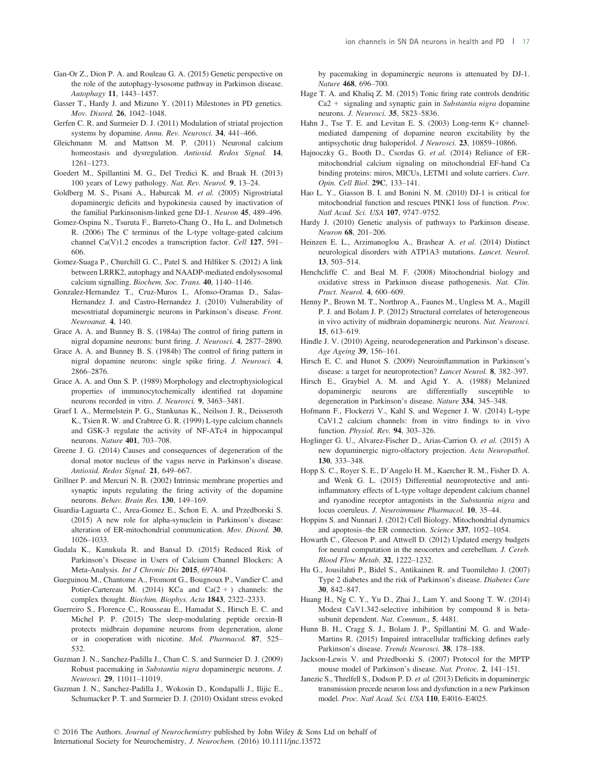- Gan-Or Z., Dion P. A. and Rouleau G. A. (2015) Genetic perspective on the role of the autophagy-lysosome pathway in Parkinson disease. Autophagy 11, 1443–1457.
- Gasser T., Hardy J. and Mizuno Y. (2011) Milestones in PD genetics. Mov. Disord. 26, 1042–1048.
- Gerfen C. R. and Surmeier D. J. (2011) Modulation of striatal projection systems by dopamine. Annu. Rev. Neurosci. 34, 441–466.
- Gleichmann M. and Mattson M. P. (2011) Neuronal calcium homeostasis and dysregulation. Antioxid. Redox Signal. 14, 1261–1273.
- Goedert M., Spillantini M. G., Del Tredici K. and Braak H. (2013) 100 years of Lewy pathology. Nat. Rev. Neurol. 9, 13–24.
- Goldberg M. S., Pisani A., Haburcak M. et al. (2005) Nigrostriatal dopaminergic deficits and hypokinesia caused by inactivation of the familial Parkinsonism-linked gene DJ-1. Neuron 45, 489–496.
- Gomez-Ospina N., Tsuruta F., Barreto-Chang O., Hu L. and Dolmetsch R. (2006) The C terminus of the L-type voltage-gated calcium channel Ca(V)1.2 encodes a transcription factor. Cell 127, 591– 606.
- Gomez-Suaga P., Churchill G. C., Patel S. and Hilfiker S. (2012) A link between LRRK2, autophagy and NAADP-mediated endolysosomal calcium signalling. Biochem. Soc. Trans. 40, 1140–1146.
- Gonzalez-Hernandez T., Cruz-Muros I., Afonso-Oramas D., Salas-Hernandez J. and Castro-Hernandez J. (2010) Vulnerability of mesostriatal dopaminergic neurons in Parkinson's disease. Front. Neuroanat. 4, 140.
- Grace A. A. and Bunney B. S. (1984a) The control of firing pattern in nigral dopamine neurons: burst firing. J. Neurosci. 4, 2877–2890.
- Grace A. A. and Bunney B. S. (1984b) The control of firing pattern in nigral dopamine neurons: single spike firing. J. Neurosci. 4, 2866–2876.
- Grace A. A. and Onn S. P. (1989) Morphology and electrophysiological properties of immunocytochemically identified rat dopamine neurons recorded in vitro. J. Neurosci. 9, 3463–3481.
- Graef I. A., Mermelstein P. G., Stankunas K., Neilson J. R., Deisseroth K., Tsien R. W. and Crabtree G. R. (1999) L-type calcium channels and GSK-3 regulate the activity of NF-ATc4 in hippocampal neurons. Nature 401, 703–708.
- Greene J. G. (2014) Causes and consequences of degeneration of the dorsal motor nucleus of the vagus nerve in Parkinson's disease. Antioxid. Redox Signal. 21, 649–667.
- Grillner P. and Mercuri N. B. (2002) Intrinsic membrane properties and synaptic inputs regulating the firing activity of the dopamine neurons. Behav. Brain Res. 130, 149–169.
- Guardia-Laguarta C., Area-Gomez E., Schon E. A. and Przedborski S. (2015) A new role for alpha-synuclein in Parkinson's disease: alteration of ER-mitochondrial communication. Mov. Disord. 30, 1026–1033.
- Gudala K., Kanukula R. and Bansal D. (2015) Reduced Risk of Parkinson's Disease in Users of Calcium Channel Blockers: A Meta-Analysis. Int J Chronic Dis 2015, 697404.
- Gueguinou M., Chantome A., Fromont G., Bougnoux P., Vandier C. and Potier-Cartereau M. (2014) KCa and Ca( $2 +$ ) channels: the complex thought. Biochim. Biophys. Acta 1843, 2322–2333.
- Guerreiro S., Florence C., Rousseau E., Hamadat S., Hirsch E. C. and Michel P. P. (2015) The sleep-modulating peptide orexin-B protects midbrain dopamine neurons from degeneration, alone or in cooperation with nicotine. Mol. Pharmacol. 87, 525– 532.
- Guzman J. N., Sanchez-Padilla J., Chan C. S. and Surmeier D. J. (2009) Robust pacemaking in Substantia nigra dopaminergic neurons. J. Neurosci. 29, 11011–11019.
- Guzman J. N., Sanchez-Padilla J., Wokosin D., Kondapalli J., Ilijic E., Schumacker P. T. and Surmeier D. J. (2010) Oxidant stress evoked

by pacemaking in dopaminergic neurons is attenuated by DJ-1. Nature 468, 696–700.

- Hage T. A. and Khaliq Z. M. (2015) Tonic firing rate controls dendritic  $Ca2 +$  signaling and synaptic gain in Substantia nigra dopamine neurons. J. Neurosci. 35, 5823–5836.
- Hahn J., Tse T. E. and Levitan E. S. (2003) Long-term K+ channelmediated dampening of dopamine neuron excitability by the antipsychotic drug haloperidol. J Neurosci. 23, 10859–10866.
- Hajnoczky G., Booth D., Csordas G. et al. (2014) Reliance of ERmitochondrial calcium signaling on mitochondrial EF-hand Ca binding proteins: miros, MICUs, LETM1 and solute carriers. Curr. Opin. Cell Biol. 29C, 133–141.
- Hao L. Y., Giasson B. I. and Bonini N. M. (2010) DJ-1 is critical for mitochondrial function and rescues PINK1 loss of function. Proc. Natl Acad. Sci. USA 107, 9747–9752.
- Hardy J. (2010) Genetic analysis of pathways to Parkinson disease. Neuron 68, 201–206.
- Heinzen E. L., Arzimanoglou A., Brashear A. et al. (2014) Distinct neurological disorders with ATP1A3 mutations. Lancet. Neurol. 13, 503–514.
- Henchcliffe C. and Beal M. F. (2008) Mitochondrial biology and oxidative stress in Parkinson disease pathogenesis. Nat. Clin. Pract. Neurol. 4, 600–609.
- Henny P., Brown M. T., Northrop A., Faunes M., Ungless M. A., Magill P. J. and Bolam J. P. (2012) Structural correlates of heterogeneous in vivo activity of midbrain dopaminergic neurons. Nat. Neurosci. 15, 613–619.
- Hindle J. V. (2010) Ageing, neurodegeneration and Parkinson's disease. Age Ageing 39, 156–161.
- Hirsch E. C. and Hunot S. (2009) Neuroinflammation in Parkinson's disease: a target for neuroprotection? Lancet Neurol. 8, 382–397.
- Hirsch E., Graybiel A. M. and Agid Y. A. (1988) Melanized dopaminergic neurons are differentially susceptible to degeneration in Parkinson's disease. Nature 334, 345–348.
- Hofmann F., Flockerzi V., Kahl S. and Wegener J. W. (2014) L-type CaV1.2 calcium channels: from in vitro findings to in vivo function. Physiol. Rev. 94, 303–326.
- Hoglinger G. U., Alvarez-Fischer D., Arias-Carrion O. et al. (2015) A new dopaminergic nigro-olfactory projection. Acta Neuropathol. 130, 333–348.
- Hopp S. C., Royer S. E., D'Angelo H. M., Kaercher R. M., Fisher D. A. and Wenk G. L. (2015) Differential neuroprotective and antiinflammatory effects of L-type voltage dependent calcium channel and ryanodine receptor antagonists in the Substantia nigra and locus coeruleus. J. Neuroimmune Pharmacol. 10, 35–44.
- Hoppins S. and Nunnari J. (2012) Cell Biology. Mitochondrial dynamics and apoptosis–the ER connection. Science 337, 1052–1054.
- Howarth C., Gleeson P. and Attwell D. (2012) Updated energy budgets for neural computation in the neocortex and cerebellum. J. Cereb. Blood Flow Metab. 32, 1222–1232.
- Hu G., Jousilahti P., Bidel S., Antikainen R. and Tuomilehto J. (2007) Type 2 diabetes and the risk of Parkinson's disease. Diabetes Care 30, 842–847.
- Huang H., Ng C. Y., Yu D., Zhai J., Lam Y. and Soong T. W. (2014) Modest CaV1.342-selective inhibition by compound 8 is betasubunit dependent. Nat. Commun., 5, 4481.
- Hunn B. H., Cragg S. J., Bolam J. P., Spillantini M. G. and Wade-Martins R. (2015) Impaired intracellular trafficking defines early Parkinson's disease. Trends Neurosci. 38, 178–188.
- Jackson-Lewis V. and Przedborski S. (2007) Protocol for the MPTP mouse model of Parkinson's disease. Nat. Protoc. 2, 141–151.
- Janezic S., Threlfell S., Dodson P. D. et al. (2013) Deficits in dopaminergic transmission precede neuron loss and dysfunction in a new Parkinson model. Proc. Natl Acad. Sci. USA 110, E4016–E4025.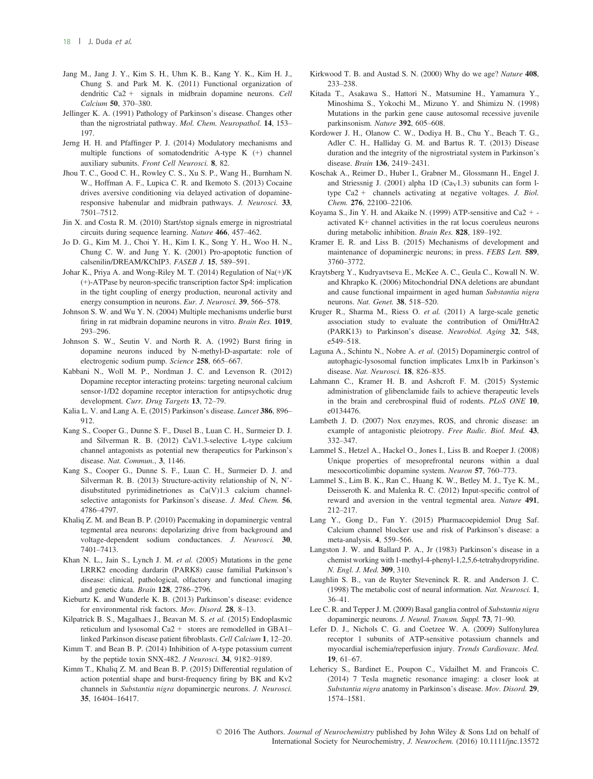- Jang M., Jang J. Y., Kim S. H., Uhm K. B., Kang Y. K., Kim H. J., Chung S. and Park M. K. (2011) Functional organization of dendritic Ca2 + signals in midbrain dopamine neurons. Cell Calcium 50, 370–380.
- Jellinger K. A. (1991) Pathology of Parkinson's disease. Changes other than the nigrostriatal pathway. Mol. Chem. Neuropathol. 14, 153-197.
- Jerng H. H. and Pfaffinger P. J. (2014) Modulatory mechanisms and multiple functions of somatodendritic A-type K (+) channel auxiliary subunits. Front Cell Neurosci. 8, 82.
- Jhou T. C., Good C. H., Rowley C. S., Xu S. P., Wang H., Burnham N. W., Hoffman A. F., Lupica C. R. and Ikemoto S. (2013) Cocaine drives aversive conditioning via delayed activation of dopamineresponsive habenular and midbrain pathways. J. Neurosci. 33, 7501–7512.
- Jin X. and Costa R. M. (2010) Start/stop signals emerge in nigrostriatal circuits during sequence learning. Nature 466, 457–462.
- Jo D. G., Kim M. J., Choi Y. H., Kim I. K., Song Y. H., Woo H. N., Chung C. W. and Jung Y. K. (2001) Pro-apoptotic function of calsenilin/DREAM/KChIP3. FASEB J. 15, 589–591.
- Johar K., Priya A. and Wong-Riley M. T. (2014) Regulation of Na(+)/K (+)-ATPase by neuron-specific transcription factor Sp4: implication in the tight coupling of energy production, neuronal activity and energy consumption in neurons. Eur. J. Neurosci. 39, 566–578.
- Johnson S. W. and Wu Y. N. (2004) Multiple mechanisms underlie burst firing in rat midbrain dopamine neurons in vitro. Brain Res. 1019, 293–296.
- Johnson S. W., Seutin V. and North R. A. (1992) Burst firing in dopamine neurons induced by N-methyl-D-aspartate: role of electrogenic sodium pump. Science 258, 665–667.
- Kabbani N., Woll M. P., Nordman J. C. and Levenson R. (2012) Dopamine receptor interacting proteins: targeting neuronal calcium sensor-1/D2 dopamine receptor interaction for antipsychotic drug development. Curr. Drug Targets 13, 72–79.
- Kalia L. V. and Lang A. E. (2015) Parkinson's disease. Lancet 386, 896-912.
- Kang S., Cooper G., Dunne S. F., Dusel B., Luan C. H., Surmeier D. J. and Silverman R. B. (2012) CaV1.3-selective L-type calcium channel antagonists as potential new therapeutics for Parkinson's disease. Nat. Commun., 3, 1146.
- Kang S., Cooper G., Dunne S. F., Luan C. H., Surmeier D. J. and Silverman R. B. (2013) Structure-activity relationship of N, N' disubstituted pyrimidinetriones as Ca(V)1.3 calcium channelselective antagonists for Parkinson's disease. J. Med. Chem. 56, 4786–4797.
- Khaliq Z. M. and Bean B. P. (2010) Pacemaking in dopaminergic ventral tegmental area neurons: depolarizing drive from background and voltage-dependent sodium conductances. J. Neurosci. 30, 7401–7413.
- Khan N. L., Jain S., Lynch J. M. et al. (2005) Mutations in the gene LRRK2 encoding dardarin (PARK8) cause familial Parkinson's disease: clinical, pathological, olfactory and functional imaging and genetic data. Brain 128, 2786–2796.
- Kieburtz K. and Wunderle K. B. (2013) Parkinson's disease: evidence for environmental risk factors. Mov. Disord. 28, 8–13.
- Kilpatrick B. S., Magalhaes J., Beavan M. S. et al. (2015) Endoplasmic reticulum and lysosomal Ca2 + stores are remodelled in GBA1– linked Parkinson disease patient fibroblasts. Cell Calcium 1, 12–20.
- Kimm T. and Bean B. P. (2014) Inhibition of A-type potassium current by the peptide toxin SNX-482. J Neurosci. 34, 9182–9189.
- Kimm T., Khaliq Z. M. and Bean B. P. (2015) Differential regulation of action potential shape and burst-frequency firing by BK and Kv2 channels in Substantia nigra dopaminergic neurons. J. Neurosci. 35, 16404–16417.
- Kirkwood T. B. and Austad S. N. (2000) Why do we age? Nature 408, 233–238.
- Kitada T., Asakawa S., Hattori N., Matsumine H., Yamamura Y., Minoshima S., Yokochi M., Mizuno Y. and Shimizu N. (1998) Mutations in the parkin gene cause autosomal recessive juvenile parkinsonism. Nature 392, 605–608.
- Kordower J. H., Olanow C. W., Dodiya H. B., Chu Y., Beach T. G., Adler C. H., Halliday G. M. and Bartus R. T. (2013) Disease duration and the integrity of the nigrostriatal system in Parkinson's disease. Brain 136, 2419–2431.
- Koschak A., Reimer D., Huber I., Grabner M., Glossmann H., Engel J. and Striessnig J. (2001) alpha 1D ( $Ca<sub>V</sub>1.3$ ) subunits can form ltype Ca2 + channels activating at negative voltages. J. Biol. Chem. 276, 22100–22106.
- Koyama S., Jin Y. H. and Akaike N. (1999) ATP-sensitive and Ca2 + activated K+ channel activities in the rat locus coeruleus neurons during metabolic inhibition. Brain Res. 828, 189-192.
- Kramer E. R. and Liss B. (2015) Mechanisms of development and maintenance of dopaminergic neurons; in press. FEBS Lett. 589, 3760–3772.
- Kraytsberg Y., Kudryavtseva E., McKee A. C., Geula C., Kowall N. W. and Khrapko K. (2006) Mitochondrial DNA deletions are abundant and cause functional impairment in aged human Substantia nigra neurons. Nat. Genet. 38, 518–520.
- Kruger R., Sharma M., Riess O. et al. (2011) A large-scale genetic association study to evaluate the contribution of Omi/HtrA2 (PARK13) to Parkinson's disease. Neurobiol. Aging 32, 548, e549–518.
- Laguna A., Schintu N., Nobre A. et al. (2015) Dopaminergic control of autophagic-lysosomal function implicates Lmx1b in Parkinson's disease. Nat. Neurosci. 18, 826-835.
- Lahmann C., Kramer H. B. and Ashcroft F. M. (2015) Systemic administration of glibenclamide fails to achieve therapeutic levels in the brain and cerebrospinal fluid of rodents. PLoS ONE 10, e0134476.
- Lambeth J. D. (2007) Nox enzymes, ROS, and chronic disease: an example of antagonistic pleiotropy. Free Radic. Biol. Med. 43, 332–347.
- Lammel S., Hetzel A., Hackel O., Jones I., Liss B. and Roeper J. (2008) Unique properties of mesoprefrontal neurons within a dual mesocorticolimbic dopamine system. Neuron 57, 760–773.
- Lammel S., Lim B. K., Ran C., Huang K. W., Betley M. J., Tye K. M., Deisseroth K. and Malenka R. C. (2012) Input-specific control of reward and aversion in the ventral tegmental area. Nature 491, 212–217.
- Lang Y., Gong D., Fan Y. (2015) Pharmacoepidemiol Drug Saf. Calcium channel blocker use and risk of Parkinson's disease: a meta-analysis. 4, 559–566.
- Langston J. W. and Ballard P. A., Jr (1983) Parkinson's disease in a chemist working with 1-methyl-4-phenyl-1,2,5,6-tetrahydropyridine. N. Engl. J. Med. 309, 310.
- Laughlin S. B., van de Ruyter Steveninck R. R. and Anderson J. C. (1998) The metabolic cost of neural information. Nat. Neurosci. 1, 36–41.
- Lee C. R. and Tepper J. M. (2009) Basal ganglia control of Substantia nigra dopaminergic neurons. J. Neural. Transm. Suppl. 73, 71–90.
- Lefer D. J., Nichols C. G. and Coetzee W. A. (2009) Sulfonylurea receptor 1 subunits of ATP-sensitive potassium channels and myocardial ischemia/reperfusion injury. Trends Cardiovasc. Med. 19, 61–67.
- Lehericy S., Bardinet E., Poupon C., Vidailhet M. and Francois C. (2014) 7 Tesla magnetic resonance imaging: a closer look at Substantia nigra anatomy in Parkinson's disease. Mov. Disord. 29, 1574–1581.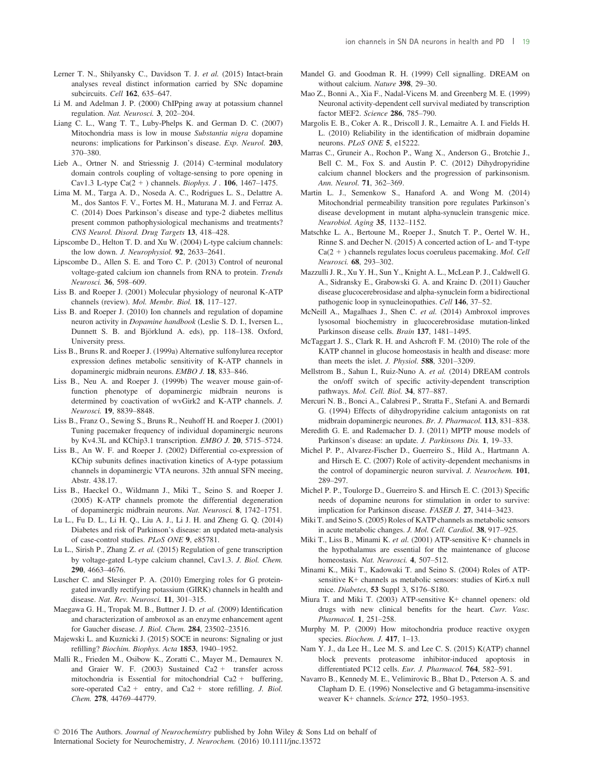- Lerner T. N., Shilyansky C., Davidson T. J. et al. (2015) Intact-brain analyses reveal distinct information carried by SNc dopamine subcircuits. Cell 162, 635–647.
- Li M. and Adelman J. P. (2000) ChIPping away at potassium channel regulation. Nat. Neurosci. 3, 202–204.
- Liang C. L., Wang T. T., Luby-Phelps K. and German D. C. (2007) Mitochondria mass is low in mouse Substantia nigra dopamine neurons: implications for Parkinson's disease. Exp. Neurol. 203, 370–380.
- Lieb A., Ortner N. and Striessnig J. (2014) C-terminal modulatory domain controls coupling of voltage-sensing to pore opening in Cav1.3 L-type Ca( $2 +$ ) channels. *Biophys.* J. **106**, 1467–1475.
- Lima M. M., Targa A. D., Noseda A. C., Rodrigues L. S., Delattre A. M., dos Santos F. V., Fortes M. H., Maturana M. J. and Ferraz A. C. (2014) Does Parkinson's disease and type-2 diabetes mellitus present common pathophysiological mechanisms and treatments? CNS Neurol. Disord. Drug Targets 13, 418–428.
- Lipscombe D., Helton T. D. and Xu W. (2004) L-type calcium channels: the low down. J. Neurophysiol. 92, 2633–2641.
- Lipscombe D., Allen S. E. and Toro C. P. (2013) Control of neuronal voltage-gated calcium ion channels from RNA to protein. Trends Neurosci. 36, 598–609.
- Liss B. and Roeper J. (2001) Molecular physiology of neuronal K-ATP channels (review). Mol. Membr. Biol. 18, 117–127.
- Liss B. and Roeper J. (2010) Ion channels and regulation of dopamine neuron activity in Dopamine handbook (Leslie S. D. I., Iversen L., Dunnett S. B. and Björklund A. eds), pp. 118–138. Oxford, University press.
- Liss B., Bruns R. and Roeper J. (1999a) Alternative sulfonylurea receptor expression defines metabolic sensitivity of K-ATP channels in dopaminergic midbrain neurons. EMBO J. 18, 833–846.
- Liss B., Neu A. and Roeper J. (1999b) The weaver mouse gain-offunction phenotype of dopaminergic midbrain neurons is determined by coactivation of wvGirk2 and K-ATP channels. J. Neurosci. 19, 8839–8848.
- Liss B., Franz O., Sewing S., Bruns R., Neuhoff H. and Roeper J. (2001) Tuning pacemaker frequency of individual dopaminergic neurons by Kv4.3L and KChip3.1 transcription. EMBO J. 20, 5715–5724.
- Liss B., An W. F. and Roeper J. (2002) Differential co-expression of KChip subunits defines inactivation kinetics of A-type potassium channels in dopaminergic VTA neurons. 32th annual SFN meeing, Abstr. 438.17.
- Liss B., Haeckel O., Wildmann J., Miki T., Seino S. and Roeper J. (2005) K-ATP channels promote the differential degeneration of dopaminergic midbrain neurons. Nat. Neurosci. 8, 1742–1751.
- Lu L., Fu D. L., Li H. Q., Liu A. J., Li J. H. and Zheng G. Q. (2014) Diabetes and risk of Parkinson's disease: an updated meta-analysis of case-control studies. PLoS ONE 9, e85781.
- Lu L., Sirish P., Zhang Z. et al. (2015) Regulation of gene transcription by voltage-gated L-type calcium channel, Cav1.3. J. Biol. Chem. 290, 4663–4676.
- Luscher C. and Slesinger P. A. (2010) Emerging roles for G proteingated inwardly rectifying potassium (GIRK) channels in health and disease. Nat. Rev. Neurosci. 11, 301–315.
- Maegawa G. H., Tropak M. B., Buttner J. D. et al. (2009) Identification and characterization of ambroxol as an enzyme enhancement agent for Gaucher disease. J. Biol. Chem. 284, 23502–23516.
- Majewski L. and Kuznicki J. (2015) SOCE in neurons: Signaling or just refilling? Biochim. Biophys. Acta 1853, 1940–1952.
- Malli R., Frieden M., Osibow K., Zoratti C., Mayer M., Demaurex N. and Graier W. F. (2003) Sustained Ca2 + transfer across mitochondria is Essential for mitochondrial Ca2 + buffering, sore-operated Ca2 + entry, and Ca2 + store refilling. J. Biol. Chem. 278, 44769–44779.
- Mandel G. and Goodman R. H. (1999) Cell signalling. DREAM on without calcium. Nature 398, 29–30.
- Mao Z., Bonni A., Xia F., Nadal-Vicens M. and Greenberg M. E. (1999) Neuronal activity-dependent cell survival mediated by transcription factor MEF2. Science 286, 785–790.
- Margolis E. B., Coker A. R., Driscoll J. R., Lemaitre A. I. and Fields H. L. (2010) Reliability in the identification of midbrain dopamine neurons. PLoS ONE 5, e15222.
- Marras C., Gruneir A., Rochon P., Wang X., Anderson G., Brotchie J., Bell C. M., Fox S. and Austin P. C. (2012) Dihydropyridine calcium channel blockers and the progression of parkinsonism. Ann. Neurol. 71, 362–369.
- Martin L. J., Semenkow S., Hanaford A. and Wong M. (2014) Mitochondrial permeability transition pore regulates Parkinson's disease development in mutant alpha-synuclein transgenic mice. Neurobiol. Aging 35, 1132–1152.
- Matschke L. A., Bertoune M., Roeper J., Snutch T. P., Oertel W. H., Rinne S. and Decher N. (2015) A concerted action of L- and T-type Ca(2 + ) channels regulates locus coeruleus pacemaking. Mol. Cell Neurosci. 68, 293–302.
- Mazzulli J. R., Xu Y. H., Sun Y., Knight A. L., McLean P. J., Caldwell G. A., Sidransky E., Grabowski G. A. and Krainc D. (2011) Gaucher disease glucocerebrosidase and alpha-synuclein form a bidirectional pathogenic loop in synucleinopathies. Cell 146, 37–52.
- McNeill A., Magalhaes J., Shen C. et al. (2014) Ambroxol improves lysosomal biochemistry in glucocerebrosidase mutation-linked Parkinson disease cells. Brain 137, 1481–1495.
- McTaggart J. S., Clark R. H. and Ashcroft F. M. (2010) The role of the KATP channel in glucose homeostasis in health and disease: more than meets the islet. J. Physiol. 588, 3201–3209.
- Mellstrom B., Sahun I., Ruiz-Nuno A. et al. (2014) DREAM controls the on/off switch of specific activity-dependent transcription pathways. Mol. Cell. Biol. 34, 877–887.
- Mercuri N. B., Bonci A., Calabresi P., Stratta F., Stefani A. and Bernardi G. (1994) Effects of dihydropyridine calcium antagonists on rat midbrain dopaminergic neurones. Br. J. Pharmacol. 113, 831–838.
- Meredith G. E. and Rademacher D. J. (2011) MPTP mouse models of Parkinson's disease: an update. J. Parkinsons Dis. 1, 19–33.
- Michel P. P., Alvarez-Fischer D., Guerreiro S., Hild A., Hartmann A. and Hirsch E. C. (2007) Role of activity-dependent mechanisms in the control of dopaminergic neuron survival. J. Neurochem. 101, 289–297.
- Michel P. P., Toulorge D., Guerreiro S. and Hirsch E. C. (2013) Specific needs of dopamine neurons for stimulation in order to survive: implication for Parkinson disease. FASEB J. 27, 3414–3423.
- Miki T. and Seino S. (2005) Roles of KATP channels as metabolic sensors in acute metabolic changes. J. Mol. Cell. Cardiol. 38, 917–925.
- Miki T., Liss B., Minami K. et al. (2001) ATP-sensitive K+ channels in the hypothalamus are essential for the maintenance of glucose homeostasis. Nat. Neurosci. 4, 507-512.
- Minami K., Miki T., Kadowaki T. and Seino S. (2004) Roles of ATPsensitive K+ channels as metabolic sensors: studies of Kir6.x null mice. Diabetes, 53 Suppl 3, S176–S180.
- Miura T. and Miki T. (2003) ATP-sensitive K+ channel openers: old drugs with new clinical benefits for the heart. Curr. Vasc. Pharmacol. 1, 251–258.
- Murphy M. P. (2009) How mitochondria produce reactive oxygen species. Biochem. J. 417, 1–13.
- Nam Y. J., da Lee H., Lee M. S. and Lee C. S. (2015) K(ATP) channel block prevents proteasome inhibitor-induced apoptosis in differentiated PC12 cells. Eur. J. Pharmacol. 764, 582–591.
- Navarro B., Kennedy M. E., Velimirovic B., Bhat D., Peterson A. S. and Clapham D. E. (1996) Nonselective and G betagamma-insensitive weaver K+ channels. Science 272, 1950–1953.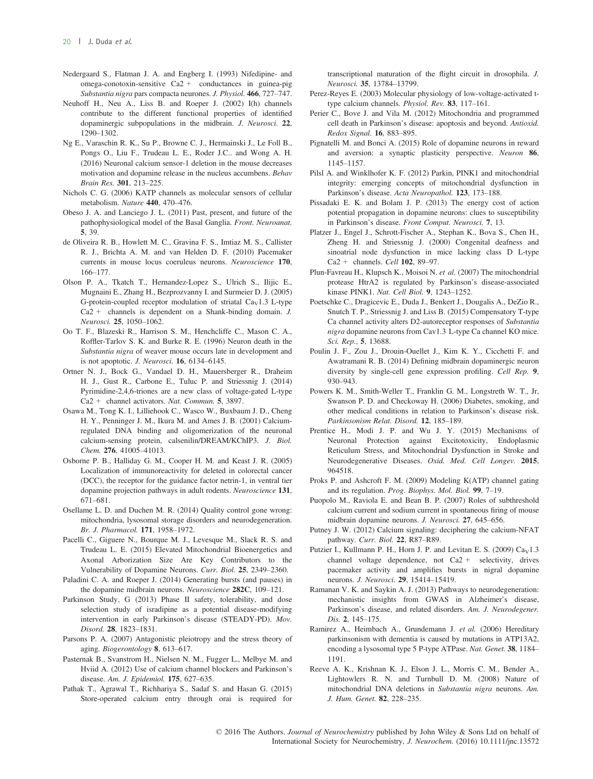- Nedergaard S., Flatman J. A. and Engberg I. (1993) Nifedipine- and  $omega-conotoxin-sensitive$  Ca2 + conductances in guinea-pig Substantia nigra pars compacta neurones. J. Physiol. 466, 727–747.
- Neuhoff H., Neu A., Liss B. and Roeper J. (2002) I(h) channels contribute to the different functional properties of identified dopaminergic subpopulations in the midbrain. J. Neurosci. 22, 1290–1302.
- Ng E., Varaschin R. K., Su P., Browne C. J., Hermainski J., Le Foll B., Pongs O., Liu F., Trudeau L. E., Roder J.C.. and Wong A. H. (2016) Neuronal calcium sensor-1 deletion in the mouse decreases motivation and dopamine release in the nucleus accumbens. Behav Brain Res. 301, 213–225.
- Nichols C. G. (2006) KATP channels as molecular sensors of cellular metabolism. Nature 440, 470–476.
- Obeso J. A. and Lanciego J. L. (2011) Past, present, and future of the pathophysiological model of the Basal Ganglia. Front. Neuroanat. 5, 39.
- de Oliveira R. B., Howlett M. C., Gravina F. S., Imtiaz M. S., Callister R. J., Brichta A. M. and van Helden D. F. (2010) Pacemaker currents in mouse locus coeruleus neurons. Neuroscience 170, 166–177.
- Olson P. A., Tkatch T., Hernandez-Lopez S., Ulrich S., Ilijic E., Mugnaini E., Zhang H., Bezprozvanny I. and Surmeier D. J. (2005) G-protein-coupled receptor modulation of striatal  $Ca<sub>V</sub>1.3$  L-type  $Ca2 +$  channels is dependent on a Shank-binding domain. *J*. Neurosci. 25, 1050–1062.
- Oo T. F., Blazeski R., Harrison S. M., Henchcliffe C., Mason C. A., Roffler-Tarlov S. K. and Burke R. E. (1996) Neuron death in the Substantia nigra of weaver mouse occurs late in development and is not apoptotic. J. Neurosci. 16, 6134–6145.
- Ortner N. J., Bock G., Vandael D. H., Mauersberger R., Draheim H. J., Gust R., Carbone E., Tuluc P. and Striessnig J. (2014) Pyrimidine-2,4,6-triones are a new class of voltage-gated L-type Ca2 + channel activators. Nat. Commun. 5, 3897.
- Osawa M., Tong K. I., Lilliehook C., Wasco W., Buxbaum J. D., Cheng H. Y., Penninger J. M., Ikura M. and Ames J. B. (2001) Calciumregulated DNA binding and oligomerization of the neuronal calcium-sensing protein, calsenilin/DREAM/KChIP3. J. Biol. Chem. 276, 41005–41013.
- Osborne P. B., Halliday G. M., Cooper H. M. and Keast J. R. (2005) Localization of immunoreactivity for deleted in colorectal cancer (DCC), the receptor for the guidance factor netrin-1, in ventral tier dopamine projection pathways in adult rodents. Neuroscience 131, 671–681.
- Osellame L. D. and Duchen M. R. (2014) Quality control gone wrong: mitochondria, lysosomal storage disorders and neurodegeneration. Br. J. Pharmacol. 171, 1958–1972.
- Pacelli C., Giguere N., Bourque M. J., Levesque M., Slack R. S. and Trudeau L. E. (2015) Elevated Mitochondrial Bioenergetics and Axonal Arborization Size Are Key Contributors to the Vulnerability of Dopamine Neurons. Curr. Biol. 25, 2349–2360.
- Paladini C. A. and Roeper J. (2014) Generating bursts (and pauses) in the dopamine midbrain neurons. Neuroscience 282C, 109–121.
- Parkinson Study, G (2013) Phase II safety, tolerability, and dose selection study of isradipine as a potential disease-modifying intervention in early Parkinson's disease (STEADY-PD). Mov. Disord. 28, 1823–1831.
- Parsons P. A. (2007) Antagonistic pleiotropy and the stress theory of aging. Biogerontology 8, 613–617.
- Pasternak B., Svanstrom H., Nielsen N. M., Fugger L., Melbye M. and Hviid A. (2012) Use of calcium channel blockers and Parkinson's disease. Am. J. Epidemiol. 175, 627–635.
- Pathak T., Agrawal T., Richhariya S., Sadaf S. and Hasan G. (2015) Store-operated calcium entry through orai is required for

transcriptional maturation of the flight circuit in drosophila. J. Neurosci. 35, 13784–13799.

- Perez-Reyes E. (2003) Molecular physiology of low-voltage-activated ttype calcium channels. Physiol. Rev. 83, 117–161.
- Perier C., Bove J. and Vila M. (2012) Mitochondria and programmed cell death in Parkinson's disease: apoptosis and beyond. Antioxid. Redox Signal. 16, 883–895.
- Pignatelli M. and Bonci A. (2015) Role of dopamine neurons in reward and aversion: a synaptic plasticity perspective. Neuron 86, 1145–1157.
- Pilsl A. and Winklhofer K. F. (2012) Parkin, PINK1 and mitochondrial integrity: emerging concepts of mitochondrial dysfunction in Parkinson's disease. Acta Neuropathol. 123, 173–188.
- Pissadaki E. K. and Bolam J. P. (2013) The energy cost of action potential propagation in dopamine neurons: clues to susceptibility in Parkinson's disease. Front Comput. Neurosci. 7, 13.
- Platzer J., Engel J., Schrott-Fischer A., Stephan K., Bova S., Chen H., Zheng H. and Striessnig J. (2000) Congenital deafness and sinoatrial node dysfunction in mice lacking class D L-type Ca2 + channels. Cell 102, 89–97.
- Plun-Favreau H., Klupsch K., Moisoi N. et al. (2007) The mitochondrial protease HtrA2 is regulated by Parkinson's disease-associated kinase PINK1. Nat. Cell Biol. 9, 1243–1252.
- Poetschke C., Dragicevic E., Duda J., Benkert J., Dougalis A., DeZio R., Snutch T. P., Striessnig J. and Liss B. (2015) Compensatory T-type Ca channel activity alters D2-autoreceptor responses of Substantia nigra dopamine neurons from Cav1.3 L-type Ca channel KO mice. Sci. Rep., 5, 13688.
- Poulin J. F., Zou J., Drouin-Ouellet J., Kim K. Y., Cicchetti F. and Awatramani R. B. (2014) Defining midbrain dopaminergic neuron diversity by single-cell gene expression profiling. Cell Rep. 9, 930–943.
- Powers K. M., Smith-Weller T., Franklin G. M., Longstreth W. T., Jr, Swanson P. D. and Checkoway H. (2006) Diabetes, smoking, and other medical conditions in relation to Parkinson's disease risk. Parkinsonism Relat. Disord. 12, 185–189.
- Prentice H., Modi J. P. and Wu J. Y. (2015) Mechanisms of Neuronal Protection against Excitotoxicity, Endoplasmic Reticulum Stress, and Mitochondrial Dysfunction in Stroke and Neurodegenerative Diseases. Oxid. Med. Cell Longev. 2015, 964518.
- Proks P. and Ashcroft F. M. (2009) Modeling K(ATP) channel gating and its regulation. Prog. Biophys. Mol. Biol. 99, 7–19.
- Puopolo M., Raviola E. and Bean B. P. (2007) Roles of subthreshold calcium current and sodium current in spontaneous firing of mouse midbrain dopamine neurons. J. Neurosci. 27, 645–656.
- Putney J. W. (2012) Calcium signaling: deciphering the calcium-NFAT pathway. Curr. Biol. 22, R87–R89.
- Putzier I., Kullmann P. H., Horn J. P. and Levitan E. S. (2009)  $Ca<sub>V</sub>1.3$ channel voltage dependence, not Ca2 + selectivity, drives pacemaker activity and amplifies bursts in nigral dopamine neurons. J. Neurosci. 29, 15414–15419.
- Ramanan V. K. and Saykin A. J. (2013) Pathways to neurodegeneration: mechanistic insights from GWAS in Alzheimer's disease, Parkinson's disease, and related disorders. Am. J. Neurodegener. Dis. 2, 145–175.
- Ramirez A., Heimbach A., Grundemann J. et al. (2006) Hereditary parkinsonism with dementia is caused by mutations in ATP13A2, encoding a lysosomal type 5 P-type ATPase. Nat. Genet. 38, 1184– 1191.
- Reeve A. K., Krishnan K. J., Elson J. L., Morris C. M., Bender A., Lightowlers R. N. and Turnbull D. M. (2008) Nature of mitochondrial DNA deletions in Substantia nigra neurons. Am. J. Hum. Genet. 82, 228–235.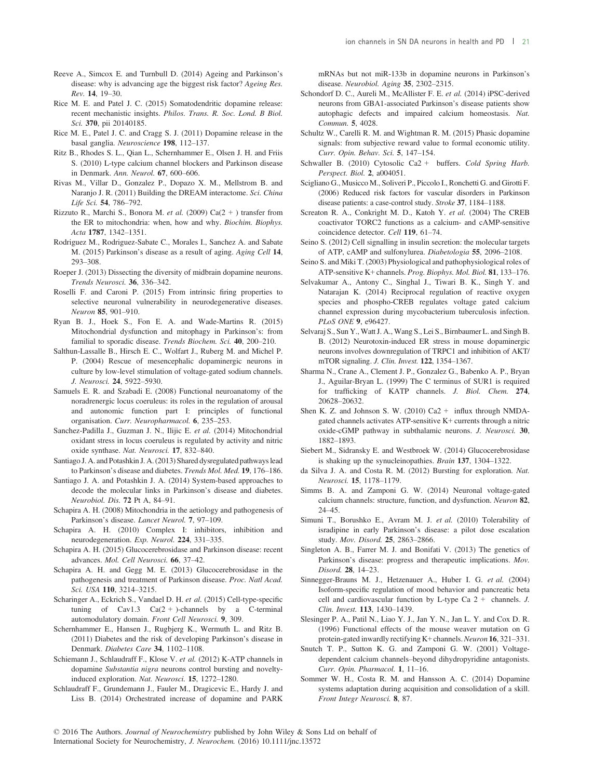- Reeve A., Simcox E. and Turnbull D. (2014) Ageing and Parkinson's disease: why is advancing age the biggest risk factor? Ageing Res. Rev. 14, 19–30.
- Rice M. E. and Patel J. C. (2015) Somatodendritic dopamine release: recent mechanistic insights. Philos. Trans. R. Soc. Lond. B Biol. Sci. 370, pii 20140185.
- Rice M. E., Patel J. C. and Cragg S. J. (2011) Dopamine release in the basal ganglia. Neuroscience 198, 112–137.
- Ritz B., Rhodes S. L., Qian L., Schernhammer E., Olsen J. H. and Friis S. (2010) L-type calcium channel blockers and Parkinson disease in Denmark. Ann. Neurol. 67, 600–606.
- Rivas M., Villar D., Gonzalez P., Dopazo X. M., Mellstrom B. and Naranjo J. R. (2011) Building the DREAM interactome. Sci. China Life Sci. 54, 786–792.
- Rizzuto R., Marchi S., Bonora M. et al. (2009) Ca(2 + ) transfer from the ER to mitochondria: when, how and why. Biochim. Biophys. Acta 1787, 1342–1351.
- Rodriguez M., Rodriguez-Sabate C., Morales I., Sanchez A. and Sabate M. (2015) Parkinson's disease as a result of aging. Aging Cell 14, 293–308.
- Roeper J. (2013) Dissecting the diversity of midbrain dopamine neurons. Trends Neurosci. 36, 336–342.
- Roselli F. and Caroni P. (2015) From intrinsic firing properties to selective neuronal vulnerability in neurodegenerative diseases. Neuron 85, 901–910.
- Ryan B. J., Hoek S., Fon E. A. and Wade-Martins R. (2015) Mitochondrial dysfunction and mitophagy in Parkinson's: from familial to sporadic disease. Trends Biochem. Sci. 40, 200-210.
- Salthun-Lassalle B., Hirsch E. C., Wolfart J., Ruberg M. and Michel P. P. (2004) Rescue of mesencephalic dopaminergic neurons in culture by low-level stimulation of voltage-gated sodium channels. J. Neurosci. 24, 5922–5930.
- Samuels E. R. and Szabadi E. (2008) Functional neuroanatomy of the noradrenergic locus coeruleus: its roles in the regulation of arousal and autonomic function part I: principles of functional organisation. Curr. Neuropharmacol. 6, 235–253.
- Sanchez-Padilla J., Guzman J. N., Ilijic E. et al. (2014) Mitochondrial oxidant stress in locus coeruleus is regulated by activity and nitric oxide synthase. Nat. Neurosci. 17, 832–840.
- Santiago J. A. and Potashkin J. A. (2013) Shared dysregulated pathways lead to Parkinson's disease and diabetes. Trends Mol. Med. 19, 176–186.
- Santiago J. A. and Potashkin J. A. (2014) System-based approaches to decode the molecular links in Parkinson's disease and diabetes. Neurobiol. Dis. 72 Pt A, 84–91.
- Schapira A. H. (2008) Mitochondria in the aetiology and pathogenesis of Parkinson's disease. Lancet Neurol. 7, 97–109.
- Schapira A. H. (2010) Complex I: inhibitors, inhibition and neurodegeneration. Exp. Neurol. 224, 331–335.
- Schapira A. H. (2015) Glucocerebrosidase and Parkinson disease: recent advances. Mol. Cell Neurosci. 66, 37–42.
- Schapira A. H. and Gegg M. E. (2013) Glucocerebrosidase in the pathogenesis and treatment of Parkinson disease. Proc. Natl Acad. Sci. USA 110, 3214–3215.
- Scharinger A., Eckrich S., Vandael D. H. et al. (2015) Cell-type-specific tuning of  $Cav1.3$   $Ca(2 +)$ -channels by a C-terminal automodulatory domain. Front Cell Neurosci. 9, 309.
- Schernhammer E., Hansen J., Rugbjerg K., Wermuth L. and Ritz B. (2011) Diabetes and the risk of developing Parkinson's disease in Denmark. Diabetes Care 34, 1102–1108.
- Schiemann J., Schlaudraff F., Klose V. et al. (2012) K-ATP channels in dopamine Substantia nigra neurons control bursting and noveltyinduced exploration. Nat. Neurosci. 15, 1272–1280.
- Schlaudraff F., Grundemann J., Fauler M., Dragicevic E., Hardy J. and Liss B. (2014) Orchestrated increase of dopamine and PARK

mRNAs but not miR-133b in dopamine neurons in Parkinson's disease. Neurobiol. Aging 35, 2302–2315.

- Schondorf D. C., Aureli M., McAllister F. E. et al. (2014) iPSC-derived neurons from GBA1-associated Parkinson's disease patients show autophagic defects and impaired calcium homeostasis. Nat. Commun. 5, 4028.
- Schultz W., Carelli R. M. and Wightman R. M. (2015) Phasic dopamine signals: from subjective reward value to formal economic utility. Curr. Opin. Behav. Sci. 5, 147–154.
- Schwaller B. (2010) Cytosolic Ca2 + buffers. Cold Spring Harb. Perspect. Biol. 2, a004051.
- Scigliano G., Musicco M., Soliveri P., Piccolo I., Ronchetti G. and Girotti F. (2006) Reduced risk factors for vascular disorders in Parkinson disease patients: a case-control study. Stroke 37, 1184–1188.
- Screaton R. A., Conkright M. D., Katoh Y. et al. (2004) The CREB coactivator TORC2 functions as a calcium- and cAMP-sensitive coincidence detector. Cell 119, 61–74.
- Seino S. (2012) Cell signalling in insulin secretion: the molecular targets of ATP, cAMP and sulfonylurea. Diabetologia 55, 2096–2108.
- Seino S. and Miki T. (2003) Physiological and pathophysiological roles of ATP-sensitive K+ channels. Prog. Biophys. Mol. Biol. 81, 133–176.
- Selvakumar A., Antony C., Singhal J., Tiwari B. K., Singh Y. and Natarajan K. (2014) Reciprocal regulation of reactive oxygen species and phospho-CREB regulates voltage gated calcium channel expression during mycobacterium tuberculosis infection. PLoS ONE 9, e96427.
- Selvaraj S., Sun Y., Watt J. A., Wang S., Lei S., Birnbaumer L. and Singh B. B. (2012) Neurotoxin-induced ER stress in mouse dopaminergic neurons involves downregulation of TRPC1 and inhibition of AKT/ mTOR signaling. J. Clin. Invest. 122, 1354–1367.
- Sharma N., Crane A., Clement J. P., Gonzalez G., Babenko A. P., Bryan J., Aguilar-Bryan L. (1999) The C terminus of SUR1 is required for trafficking of KATP channels. J. Biol. Chem. 274, 20628–20632.
- Shen K. Z. and Johnson S. W. (2010)  $Ca2 + i$  influx through NMDAgated channels activates ATP-sensitive K+ currents through a nitric oxide-cGMP pathway in subthalamic neurons. J. Neurosci. 30, 1882–1893.
- Siebert M., Sidransky E. and Westbroek W. (2014) Glucocerebrosidase is shaking up the synucleinopathies. Brain 137, 1304–1322.
- da Silva J. A. and Costa R. M. (2012) Bursting for exploration. Nat. Neurosci. 15, 1178–1179.
- Simms B. A. and Zamponi G. W. (2014) Neuronal voltage-gated calcium channels: structure, function, and dysfunction. Neuron 82, 24–45.
- Simuni T., Borushko E., Avram M. J. et al. (2010) Tolerability of isradipine in early Parkinson's disease: a pilot dose escalation study. Mov. Disord. 25, 2863–2866.
- Singleton A. B., Farrer M. J. and Bonifati V. (2013) The genetics of Parkinson's disease: progress and therapeutic implications. Mov. Disord. 28, 14–23.
- Sinnegger-Brauns M. J., Hetzenauer A., Huber I. G. et al. (2004) Isoform-specific regulation of mood behavior and pancreatic beta cell and cardiovascular function by L-type Ca 2 + channels. J. Clin. Invest. 113, 1430–1439.
- Slesinger P. A., Patil N., Liao Y. J., Jan Y. N., Jan L. Y. and Cox D. R. (1996) Functional effects of the mouse weaver mutation on G protein-gated inwardly rectifying K+ channels. Neuron 16, 321-331.
- Snutch T. P., Sutton K. G. and Zamponi G. W. (2001) Voltagedependent calcium channels–beyond dihydropyridine antagonists. Curr. Opin. Pharmacol. 1, 11–16.
- Sommer W. H., Costa R. M. and Hansson A. C. (2014) Dopamine systems adaptation during acquisition and consolidation of a skill. Front Integr Neurosci. 8, 87.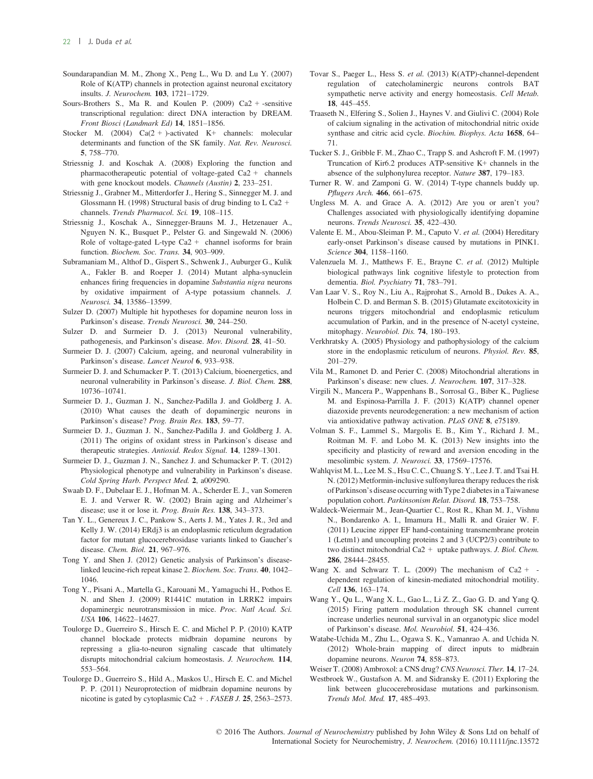- Soundarapandian M. M., Zhong X., Peng L., Wu D. and Lu Y. (2007) Role of K(ATP) channels in protection against neuronal excitatory insults. J. Neurochem. 103, 1721–1729.
- Sours-Brothers S., Ma R. and Koulen P.  $(2009)$  Ca2 + -sensitive transcriptional regulation: direct DNA interaction by DREAM. Front Biosci (Landmark Ed) 14, 1851–1856.
- Stocker M. (2004)  $Ca(2 + )$ -activated K+ channels: molecular determinants and function of the SK family. Nat. Rev. Neurosci. 5, 758–770.
- Striessnig J. and Koschak A. (2008) Exploring the function and pharmacotherapeutic potential of voltage-gated Ca2 + channels with gene knockout models. Channels (Austin) 2, 233–251.
- Striessnig J., Grabner M., Mitterdorfer J., Hering S., Sinnegger M. J. and Glossmann H. (1998) Structural basis of drug binding to L Ca2  $+$ channels. Trends Pharmacol. Sci. 19, 108–115.
- Striessnig J., Koschak A., Sinnegger-Brauns M. J., Hetzenauer A., Nguyen N. K., Busquet P., Pelster G. and Singewald N. (2006) Role of voltage-gated L-type Ca2 + channel isoforms for brain function. Biochem. Soc. Trans. 34, 903-909.
- Subramaniam M., Althof D., Gispert S., Schwenk J., Auburger G., Kulik A., Fakler B. and Roeper J. (2014) Mutant alpha-synuclein enhances firing frequencies in dopamine Substantia nigra neurons by oxidative impairment of A-type potassium channels. J. Neurosci. 34, 13586–13599.
- Sulzer D. (2007) Multiple hit hypotheses for dopamine neuron loss in Parkinson's disease. Trends Neurosci. 30, 244–250.
- Sulzer D. and Surmeier D. J. (2013) Neuronal vulnerability, pathogenesis, and Parkinson's disease. Mov. Disord. 28, 41–50.
- Surmeier D. J. (2007) Calcium, ageing, and neuronal vulnerability in Parkinson's disease. Lancet Neurol 6, 933–938.
- Surmeier D. J. and Schumacker P. T. (2013) Calcium, bioenergetics, and neuronal vulnerability in Parkinson's disease. J. Biol. Chem. 288, 10736–10741.
- Surmeier D. J., Guzman J. N., Sanchez-Padilla J. and Goldberg J. A. (2010) What causes the death of dopaminergic neurons in Parkinson's disease? Prog. Brain Res. 183, 59–77.
- Surmeier D. J., Guzman J. N., Sanchez-Padilla J. and Goldberg J. A. (2011) The origins of oxidant stress in Parkinson's disease and therapeutic strategies. Antioxid. Redox Signal. 14, 1289–1301.
- Surmeier D. J., Guzman J. N., Sanchez J. and Schumacker P. T. (2012) Physiological phenotype and vulnerability in Parkinson's disease. Cold Spring Harb. Perspect Med. 2, a009290.
- Swaab D. F., Dubelaar E. J., Hofman M. A., Scherder E. J., van Someren E. J. and Verwer R. W. (2002) Brain aging and Alzheimer's disease; use it or lose it. Prog. Brain Res. 138, 343–373.
- Tan Y. L., Genereux J. C., Pankow S., Aerts J. M., Yates J. R., 3rd and Kelly J. W. (2014) ERdj3 is an endoplasmic reticulum degradation factor for mutant glucocerebrosidase variants linked to Gaucher's disease. Chem. Biol. 21, 967–976.
- Tong Y. and Shen J. (2012) Genetic analysis of Parkinson's diseaselinked leucine-rich repeat kinase 2. Biochem. Soc. Trans. 40, 1042– 1046.
- Tong Y., Pisani A., Martella G., Karouani M., Yamaguchi H., Pothos E. N. and Shen J. (2009) R1441C mutation in LRRK2 impairs dopaminergic neurotransmission in mice. Proc. Natl Acad. Sci. USA 106, 14622–14627.
- Toulorge D., Guerreiro S., Hirsch E. C. and Michel P. P. (2010) KATP channel blockade protects midbrain dopamine neurons by repressing a glia-to-neuron signaling cascade that ultimately disrupts mitochondrial calcium homeostasis. J. Neurochem. 114, 553–564.
- Toulorge D., Guerreiro S., Hild A., Maskos U., Hirsch E. C. and Michel P. P. (2011) Neuroprotection of midbrain dopamine neurons by nicotine is gated by cytoplasmic Ca2 + . FASEB J. 25, 2563–2573.
- Tovar S., Paeger L., Hess S. et al. (2013) K(ATP)-channel-dependent regulation of catecholaminergic neurons controls BAT sympathetic nerve activity and energy homeostasis. Cell Metab. 18, 445–455.
- Traaseth N., Elfering S., Solien J., Haynes V. and Giulivi C. (2004) Role of calcium signaling in the activation of mitochondrial nitric oxide synthase and citric acid cycle. Biochim. Biophys. Acta 1658, 64– 71.
- Tucker S. J., Gribble F. M., Zhao C., Trapp S. and Ashcroft F. M. (1997) Truncation of Kir6.2 produces ATP-sensitive K+ channels in the absence of the sulphonylurea receptor. Nature 387, 179–183.
- Turner R. W. and Zamponi G. W. (2014) T-type channels buddy up. Pflugers Arch. 466, 661–675.
- Ungless M. A. and Grace A. A. (2012) Are you or aren't you? Challenges associated with physiologically identifying dopamine neurons. Trends Neurosci. 35, 422–430.
- Valente E. M., Abou-Sleiman P. M., Caputo V. et al. (2004) Hereditary early-onset Parkinson's disease caused by mutations in PINK1. Science 304, 1158–1160.
- Valenzuela M. J., Matthews F. E., Brayne C. et al. (2012) Multiple biological pathways link cognitive lifestyle to protection from dementia. Biol. Psychiatry 71, 783–791.
- Van Laar V. S., Roy N., Liu A., Rajprohat S., Arnold B., Dukes A. A., Holbein C. D. and Berman S. B. (2015) Glutamate excitotoxicity in neurons triggers mitochondrial and endoplasmic reticulum accumulation of Parkin, and in the presence of N-acetyl cysteine, mitophagy. Neurobiol. Dis. 74, 180–193.
- Verkhratsky A. (2005) Physiology and pathophysiology of the calcium store in the endoplasmic reticulum of neurons. Physiol. Rev. 85, 201–279.
- Vila M., Ramonet D. and Perier C. (2008) Mitochondrial alterations in Parkinson's disease: new clues. J. Neurochem. 107, 317–328.
- Virgili N., Mancera P., Wappenhans B., Sorrosal G., Biber K., Pugliese M. and Espinosa-Parrilla J. F. (2013) K(ATP) channel opener diazoxide prevents neurodegeneration: a new mechanism of action via antioxidative pathway activation. PLoS ONE 8, e75189.
- Volman S. F., Lammel S., Margolis E. B., Kim Y., Richard J. M., Roitman M. F. and Lobo M. K. (2013) New insights into the specificity and plasticity of reward and aversion encoding in the mesolimbic system. J. Neurosci. 33, 17569–17576.
- Wahlqvist M. L., Lee M. S., Hsu C. C., Chuang S. Y., Lee J. T. and Tsai H. N. (2012) Metformin-inclusive sulfonylurea therapy reduces the risk of Parkinson's disease occurring with Type 2 diabetes in a Taiwanese population cohort. Parkinsonism Relat. Disord. 18, 753–758.
- Waldeck-Weiermair M., Jean-Quartier C., Rost R., Khan M. J., Vishnu N., Bondarenko A. I., Imamura H., Malli R. and Graier W. F. (2011) Leucine zipper EF hand-containing transmembrane protein 1 (Letm1) and uncoupling proteins 2 and 3 (UCP2/3) contribute to two distinct mitochondrial Ca2 + uptake pathways. J. Biol. Chem. 286, 28444–28455.
- Wang X. and Schwarz T. L. (2009) The mechanism of  $Ca2 +$ dependent regulation of kinesin-mediated mitochondrial motility. Cell 136, 163–174.
- Wang Y., Qu L., Wang X. L., Gao L., Li Z. Z., Gao G. D. and Yang Q. (2015) Firing pattern modulation through SK channel current increase underlies neuronal survival in an organotypic slice model of Parkinson's disease. Mol. Neurobiol. 51, 424–436.
- Watabe-Uchida M., Zhu L., Ogawa S. K., Vamanrao A. and Uchida N. (2012) Whole-brain mapping of direct inputs to midbrain dopamine neurons. Neuron 74, 858–873.
- Weiser T. (2008) Ambroxol: a CNS drug? CNS Neurosci. Ther. 14, 17–24.
- Westbroek W., Gustafson A. M. and Sidransky E. (2011) Exploring the link between glucocerebrosidase mutations and parkinsonism. Trends Mol. Med. 17, 485–493.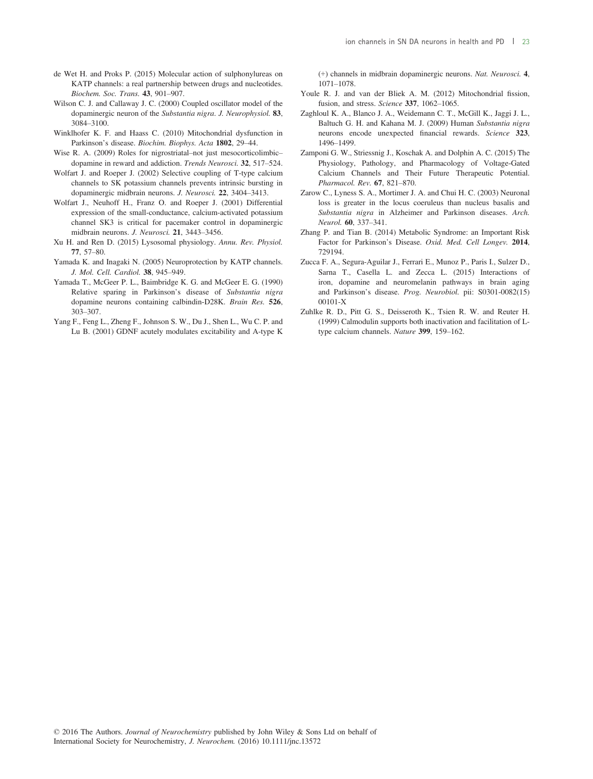- de Wet H. and Proks P. (2015) Molecular action of sulphonylureas on KATP channels: a real partnership between drugs and nucleotides. Biochem. Soc. Trans. 43, 901–907.
- Wilson C. J. and Callaway J. C. (2000) Coupled oscillator model of the dopaminergic neuron of the Substantia nigra. J. Neurophysiol. 83, 3084–3100.
- Winklhofer K. F. and Haass C. (2010) Mitochondrial dysfunction in Parkinson's disease. Biochim. Biophys. Acta 1802, 29–44.
- Wise R. A. (2009) Roles for nigrostriatal–not just mesocorticolimbic– dopamine in reward and addiction. Trends Neurosci. 32, 517–524.
- Wolfart J. and Roeper J. (2002) Selective coupling of T-type calcium channels to SK potassium channels prevents intrinsic bursting in dopaminergic midbrain neurons. J. Neurosci. 22, 3404–3413.
- Wolfart J., Neuhoff H., Franz O. and Roeper J. (2001) Differential expression of the small-conductance, calcium-activated potassium channel SK3 is critical for pacemaker control in dopaminergic midbrain neurons. J. Neurosci. 21, 3443–3456.
- Xu H. and Ren D. (2015) Lysosomal physiology. Annu. Rev. Physiol. 77, 57–80.
- Yamada K. and Inagaki N. (2005) Neuroprotection by KATP channels. J. Mol. Cell. Cardiol. 38, 945–949.
- Yamada T., McGeer P. L., Baimbridge K. G. and McGeer E. G. (1990) Relative sparing in Parkinson's disease of Substantia nigra dopamine neurons containing calbindin-D28K. Brain Res. 526, 303–307.
- Yang F., Feng L., Zheng F., Johnson S. W., Du J., Shen L., Wu C. P. and Lu B. (2001) GDNF acutely modulates excitability and A-type K

(+) channels in midbrain dopaminergic neurons. Nat. Neurosci. 4, 1071–1078.

- Youle R. J. and van der Bliek A. M. (2012) Mitochondrial fission, fusion, and stress. Science 337, 1062-1065.
- Zaghloul K. A., Blanco J. A., Weidemann C. T., McGill K., Jaggi J. L., Baltuch G. H. and Kahana M. J. (2009) Human Substantia nigra neurons encode unexpected financial rewards. Science 323, 1496–1499.
- Zamponi G. W., Striessnig J., Koschak A. and Dolphin A. C. (2015) The Physiology, Pathology, and Pharmacology of Voltage-Gated Calcium Channels and Their Future Therapeutic Potential. Pharmacol. Rev. 67, 821–870.
- Zarow C., Lyness S. A., Mortimer J. A. and Chui H. C. (2003) Neuronal loss is greater in the locus coeruleus than nucleus basalis and Substantia nigra in Alzheimer and Parkinson diseases. Arch. Neurol. 60, 337–341.
- Zhang P. and Tian B. (2014) Metabolic Syndrome: an Important Risk Factor for Parkinson's Disease. Oxid. Med. Cell Longev. 2014, 729194.
- Zucca F. A., Segura-Aguilar J., Ferrari E., Munoz P., Paris I., Sulzer D., Sarna T., Casella L. and Zecca L. (2015) Interactions of iron, dopamine and neuromelanin pathways in brain aging and Parkinson's disease. Prog. Neurobiol. pii: S0301-0082(15) 00101-X
- Zuhlke R. D., Pitt G. S., Deisseroth K., Tsien R. W. and Reuter H. (1999) Calmodulin supports both inactivation and facilitation of Ltype calcium channels. Nature 399, 159–162.